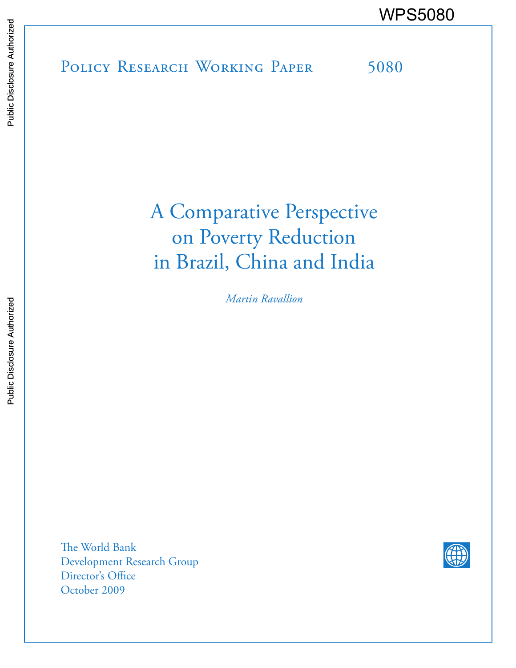# POLICY RESEARCH WORKING PAPER 5080 WPS5080<br>
MESSORO<br>
MONICY RESEARCH WORKING PAPER
5080<br>
SERIES 5080<br>
SERIES 5080

A Comparative Perspective on Poverty Reduction in Brazil, China and India

*Martin Ravallion*

The World Bank Development Research Group Director's Office October 2009

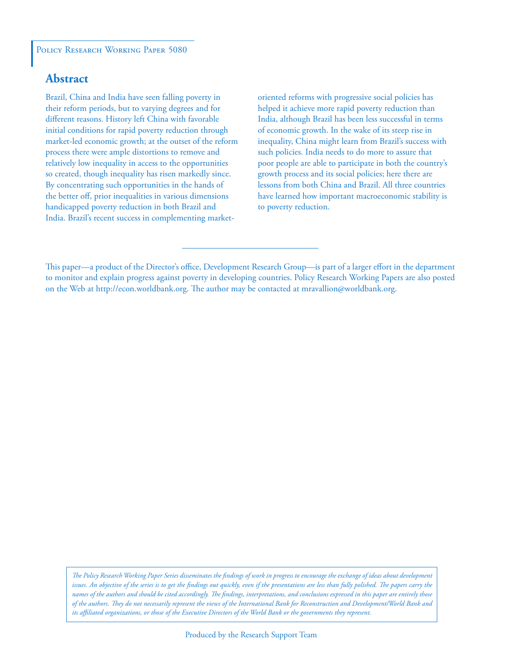#### POLICY RESEARCH WORKING PAPER 5080

# **Abstract**

Brazil, China and India have seen falling poverty in their reform periods, but to varying degrees and for different reasons. History left China with favorable initial conditions for rapid poverty reduction through market-led economic growth; at the outset of the reform process there were ample distortions to remove and relatively low inequality in access to the opportunities so created, though inequality has risen markedly since. By concentrating such opportunities in the hands of the better off, prior inequalities in various dimensions handicapped poverty reduction in both Brazil and India. Brazil's recent success in complementing marketoriented reforms with progressive social policies has helped it achieve more rapid poverty reduction than India, although Brazil has been less successful in terms of economic growth. In the wake of its steep rise in inequality, China might learn from Brazil's success with such policies. India needs to do more to assure that poor people are able to participate in both the country's growth process and its social policies; here there are lessons from both China and Brazil. All three countries have learned how important macroeconomic stability is to poverty reduction.

*The Policy Research Working Paper Series disseminates the findings of work in progress to encourage the exchange of ideas about development*  issues. An objective of the series is to get the findings out quickly, even if the presentations are less than fully polished. The papers carry the *names of the authors and should be cited accordingly. The findings, interpretations, and conclusions expressed in this paper are entirely those of the authors. They do not necessarily represent the views of the International Bank for Reconstruction and Development/World Bank and its affiliated organizations, or those of the Executive Directors of the World Bank or the governments they represent.*

This paper—a product of the Director's office, Development Research Group—is part of a larger effort in the department to monitor and explain progress against poverty in developing countries. Policy Research Working Papers are also posted on the Web at http://econ.worldbank.org. The author may be contacted at mravallion@worldbank.org.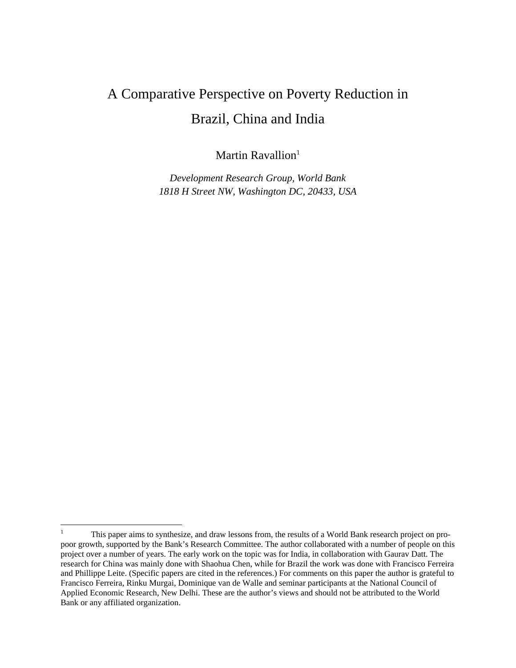# A Comparative Perspective on Poverty Reduction in Brazil, China and India

Martin Ravallion $1$ 

*Development Research Group, World Bank 1818 H Street NW, Washington DC, 20433, USA* 

 $\frac{1}{1}$  This paper aims to synthesize, and draw lessons from, the results of a World Bank research project on propoor growth, supported by the Bank's Research Committee. The author collaborated with a number of people on this project over a number of years. The early work on the topic was for India, in collaboration with Gaurav Datt. The research for China was mainly done with Shaohua Chen, while for Brazil the work was done with Francisco Ferreira and Phillippe Leite. (Specific papers are cited in the references.) For comments on this paper the author is grateful to Francisco Ferreira, Rinku Murgai, Dominique van de Walle and seminar participants at the National Council of Applied Economic Research, New Delhi. These are the author's views and should not be attributed to the World Bank or any affiliated organization.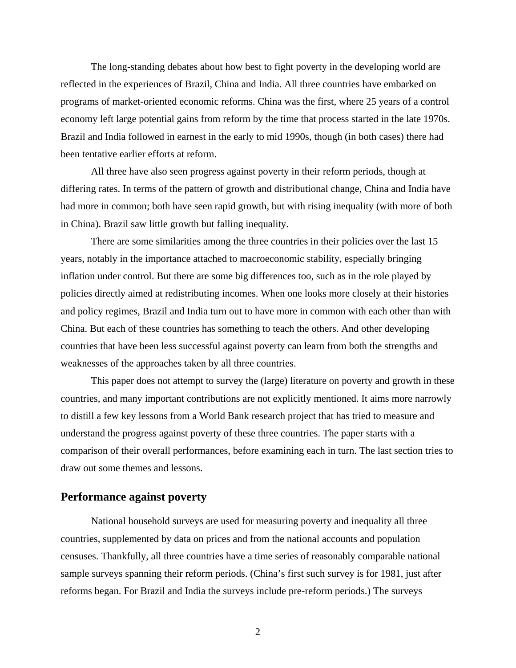The long-standing debates about how best to fight poverty in the developing world are reflected in the experiences of Brazil, China and India. All three countries have embarked on programs of market-oriented economic reforms. China was the first, where 25 years of a control economy left large potential gains from reform by the time that process started in the late 1970s. Brazil and India followed in earnest in the early to mid 1990s, though (in both cases) there had been tentative earlier efforts at reform.

All three have also seen progress against poverty in their reform periods, though at differing rates. In terms of the pattern of growth and distributional change, China and India have had more in common; both have seen rapid growth, but with rising inequality (with more of both in China). Brazil saw little growth but falling inequality.

There are some similarities among the three countries in their policies over the last 15 years, notably in the importance attached to macroeconomic stability, especially bringing inflation under control. But there are some big differences too, such as in the role played by policies directly aimed at redistributing incomes. When one looks more closely at their histories and policy regimes, Brazil and India turn out to have more in common with each other than with China. But each of these countries has something to teach the others. And other developing countries that have been less successful against poverty can learn from both the strengths and weaknesses of the approaches taken by all three countries.

This paper does not attempt to survey the (large) literature on poverty and growth in these countries, and many important contributions are not explicitly mentioned. It aims more narrowly to distill a few key lessons from a World Bank research project that has tried to measure and understand the progress against poverty of these three countries. The paper starts with a comparison of their overall performances, before examining each in turn. The last section tries to draw out some themes and lessons.

# **Performance against poverty**

National household surveys are used for measuring poverty and inequality all three countries, supplemented by data on prices and from the national accounts and population censuses. Thankfully, all three countries have a time series of reasonably comparable national sample surveys spanning their reform periods. (China's first such survey is for 1981, just after reforms began. For Brazil and India the surveys include pre-reform periods.) The surveys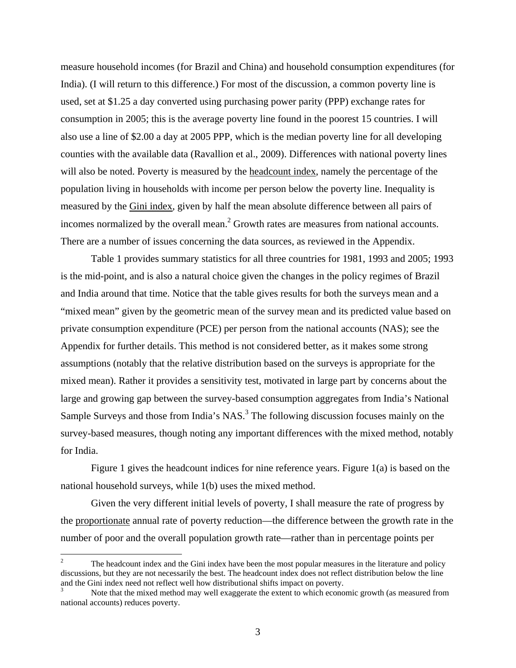measure household incomes (for Brazil and China) and household consumption expenditures (for India). (I will return to this difference.) For most of the discussion, a common poverty line is used, set at \$1.25 a day converted using purchasing power parity (PPP) exchange rates for consumption in 2005; this is the average poverty line found in the poorest 15 countries. I will also use a line of \$2.00 a day at 2005 PPP, which is the median poverty line for all developing counties with the available data (Ravallion et al., 2009). Differences with national poverty lines will also be noted. Poverty is measured by the headcount index, namely the percentage of the population living in households with income per person below the poverty line. Inequality is measured by the Gini index, given by half the mean absolute difference between all pairs of incomes normalized by the overall mean.<sup>2</sup> Growth rates are measures from national accounts. There are a number of issues concerning the data sources, as reviewed in the Appendix.

Table 1 provides summary statistics for all three countries for 1981, 1993 and 2005; 1993 is the mid-point, and is also a natural choice given the changes in the policy regimes of Brazil and India around that time. Notice that the table gives results for both the surveys mean and a "mixed mean" given by the geometric mean of the survey mean and its predicted value based on private consumption expenditure (PCE) per person from the national accounts (NAS); see the Appendix for further details. This method is not considered better, as it makes some strong assumptions (notably that the relative distribution based on the surveys is appropriate for the mixed mean). Rather it provides a sensitivity test, motivated in large part by concerns about the large and growing gap between the survey-based consumption aggregates from India's National Sample Surveys and those from India's NAS.<sup>3</sup> The following discussion focuses mainly on the survey-based measures, though noting any important differences with the mixed method, notably for India.

Figure 1 gives the headcount indices for nine reference years. Figure 1(a) is based on the national household surveys, while 1(b) uses the mixed method.

Given the very different initial levels of poverty, I shall measure the rate of progress by the proportionate annual rate of poverty reduction—the difference between the growth rate in the number of poor and the overall population growth rate—rather than in percentage points per

<sup>2</sup> The headcount index and the Gini index have been the most popular measures in the literature and policy discussions, but they are not necessarily the best. The headcount index does not reflect distribution below the line and the Gini index need not reflect well how distributional shifts impact on poverty.

<sup>3</sup> Note that the mixed method may well exaggerate the extent to which economic growth (as measured from national accounts) reduces poverty.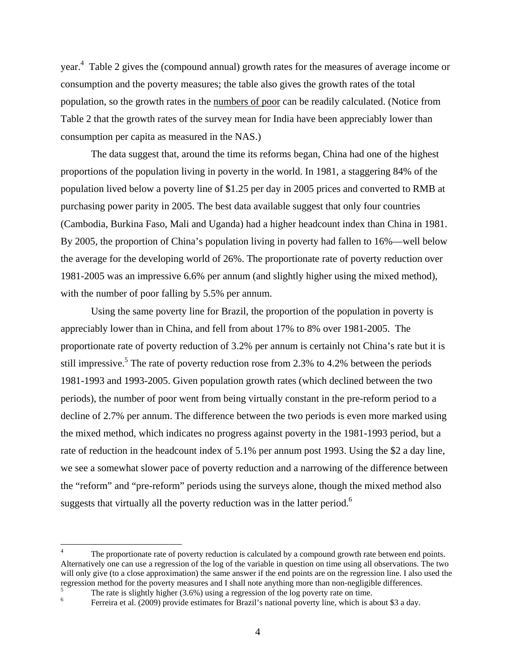year.<sup>4</sup> Table 2 gives the (compound annual) growth rates for the measures of average income or consumption and the poverty measures; the table also gives the growth rates of the total population, so the growth rates in the numbers of poor can be readily calculated. (Notice from Table 2 that the growth rates of the survey mean for India have been appreciably lower than consumption per capita as measured in the NAS.)

The data suggest that, around the time its reforms began, China had one of the highest proportions of the population living in poverty in the world. In 1981, a staggering 84% of the population lived below a poverty line of \$1.25 per day in 2005 prices and converted to RMB at purchasing power parity in 2005. The best data available suggest that only four countries (Cambodia, Burkina Faso, Mali and Uganda) had a higher headcount index than China in 1981. By 2005, the proportion of China's population living in poverty had fallen to 16%—well below the average for the developing world of 26%. The proportionate rate of poverty reduction over 1981-2005 was an impressive 6.6% per annum (and slightly higher using the mixed method), with the number of poor falling by 5.5% per annum.

Using the same poverty line for Brazil, the proportion of the population in poverty is appreciably lower than in China, and fell from about 17% to 8% over 1981-2005. The proportionate rate of poverty reduction of 3.2% per annum is certainly not China's rate but it is still impressive.<sup>5</sup> The rate of poverty reduction rose from 2.3% to 4.2% between the periods 1981-1993 and 1993-2005. Given population growth rates (which declined between the two periods), the number of poor went from being virtually constant in the pre-reform period to a decline of 2.7% per annum. The difference between the two periods is even more marked using the mixed method, which indicates no progress against poverty in the 1981-1993 period, but a rate of reduction in the headcount index of 5.1% per annum post 1993. Using the \$2 a day line, we see a somewhat slower pace of poverty reduction and a narrowing of the difference between the "reform" and "pre-reform" periods using the surveys alone, though the mixed method also suggests that virtually all the poverty reduction was in the latter period.<sup>6</sup>

 $\overline{a}$ 

<sup>4</sup> The proportionate rate of poverty reduction is calculated by a compound growth rate between end points. Alternatively one can use a regression of the log of the variable in question on time using all observations. The two will only give (to a close approximation) the same answer if the end points are on the regression line. I also used the regression method for the poverty measures and I shall note anything more than non-negligible differences. 5

The rate is slightly higher (3.6%) using a regression of the log poverty rate on time. 6

Ferreira et al. (2009) provide estimates for Brazil's national poverty line, which is about \$3 a day.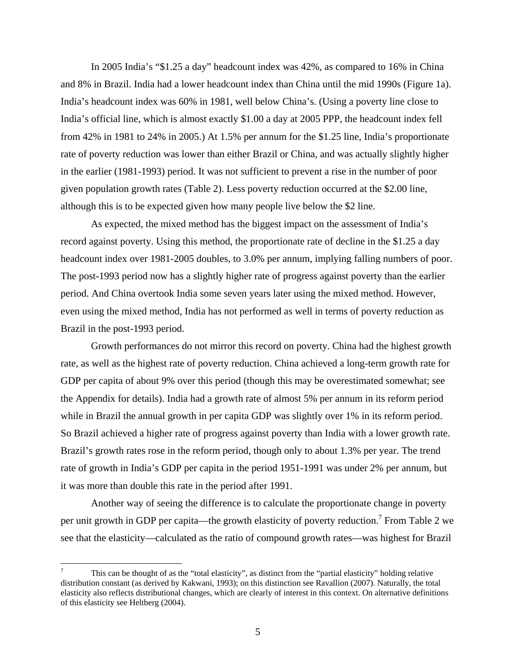In 2005 India's "\$1.25 a day" headcount index was 42%, as compared to 16% in China and 8% in Brazil. India had a lower headcount index than China until the mid 1990s (Figure 1a). India's headcount index was 60% in 1981, well below China's. (Using a poverty line close to India's official line, which is almost exactly \$1.00 a day at 2005 PPP, the headcount index fell from 42% in 1981 to 24% in 2005.) At 1.5% per annum for the \$1.25 line, India's proportionate rate of poverty reduction was lower than either Brazil or China, and was actually slightly higher in the earlier (1981-1993) period. It was not sufficient to prevent a rise in the number of poor given population growth rates (Table 2). Less poverty reduction occurred at the \$2.00 line, although this is to be expected given how many people live below the \$2 line.

As expected, the mixed method has the biggest impact on the assessment of India's record against poverty. Using this method, the proportionate rate of decline in the \$1.25 a day headcount index over 1981-2005 doubles, to 3.0% per annum, implying falling numbers of poor. The post-1993 period now has a slightly higher rate of progress against poverty than the earlier period. And China overtook India some seven years later using the mixed method. However, even using the mixed method, India has not performed as well in terms of poverty reduction as Brazil in the post-1993 period.

Growth performances do not mirror this record on poverty. China had the highest growth rate, as well as the highest rate of poverty reduction. China achieved a long-term growth rate for GDP per capita of about 9% over this period (though this may be overestimated somewhat; see the Appendix for details). India had a growth rate of almost 5% per annum in its reform period while in Brazil the annual growth in per capita GDP was slightly over 1% in its reform period. So Brazil achieved a higher rate of progress against poverty than India with a lower growth rate. Brazil's growth rates rose in the reform period, though only to about 1.3% per year. The trend rate of growth in India's GDP per capita in the period 1951-1991 was under 2% per annum, but it was more than double this rate in the period after 1991.

Another way of seeing the difference is to calculate the proportionate change in poverty per unit growth in GDP per capita—the growth elasticity of poverty reduction.<sup>7</sup> From Table 2 we see that the elasticity—calculated as the ratio of compound growth rates—was highest for Brazil

 $\overline{a}$ 

<sup>7</sup> This can be thought of as the "total elasticity", as distinct from the "partial elasticity" holding relative distribution constant (as derived by Kakwani, 1993); on this distinction see Ravallion (2007). Naturally, the total elasticity also reflects distributional changes, which are clearly of interest in this context. On alternative definitions of this elasticity see Heltberg (2004).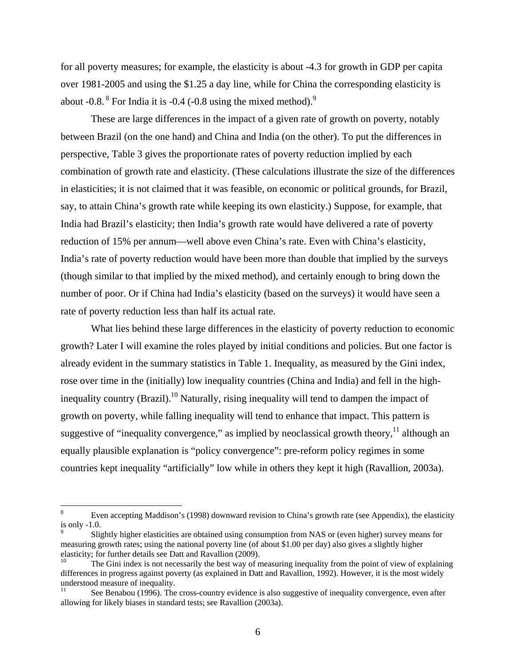for all poverty measures; for example, the elasticity is about -4.3 for growth in GDP per capita over 1981-2005 and using the \$1.25 a day line, while for China the corresponding elasticity is about -0.8.  $8$  For India it is -0.4 (-0.8 using the mixed method).<sup>9</sup>

These are large differences in the impact of a given rate of growth on poverty, notably between Brazil (on the one hand) and China and India (on the other). To put the differences in perspective, Table 3 gives the proportionate rates of poverty reduction implied by each combination of growth rate and elasticity. (These calculations illustrate the size of the differences in elasticities; it is not claimed that it was feasible, on economic or political grounds, for Brazil, say, to attain China's growth rate while keeping its own elasticity.) Suppose, for example, that India had Brazil's elasticity; then India's growth rate would have delivered a rate of poverty reduction of 15% per annum—well above even China's rate. Even with China's elasticity, India's rate of poverty reduction would have been more than double that implied by the surveys (though similar to that implied by the mixed method), and certainly enough to bring down the number of poor. Or if China had India's elasticity (based on the surveys) it would have seen a rate of poverty reduction less than half its actual rate.

What lies behind these large differences in the elasticity of poverty reduction to economic growth? Later I will examine the roles played by initial conditions and policies. But one factor is already evident in the summary statistics in Table 1. Inequality, as measured by the Gini index, rose over time in the (initially) low inequality countries (China and India) and fell in the highinequality country (Brazil).<sup>10</sup> Naturally, rising inequality will tend to dampen the impact of growth on poverty, while falling inequality will tend to enhance that impact. This pattern is suggestive of "inequality convergence," as implied by neoclassical growth theory, $^{11}$  although an equally plausible explanation is "policy convergence": pre-reform policy regimes in some countries kept inequality "artificially" low while in others they kept it high (Ravallion, 2003a).

 $\overline{a}$ 

<sup>8</sup> Even accepting Maddison's (1998) downward revision to China's growth rate (see Appendix), the elasticity is only -1.0.

<sup>9</sup> Slightly higher elasticities are obtained using consumption from NAS or (even higher) survey means for measuring growth rates; using the national poverty line (of about \$1.00 per day) also gives a slightly higher elasticity; for further details see Datt and Ravallion (2009).

The Gini index is not necessarily the best way of measuring inequality from the point of view of explaining differences in progress against poverty (as explained in Datt and Ravallion, 1992). However, it is the most widely understood measure of inequality.<br> $\frac{11}{10}$  See Benabou (1996) The

See Benabou (1996). The cross-country evidence is also suggestive of inequality convergence, even after allowing for likely biases in standard tests; see Ravallion (2003a).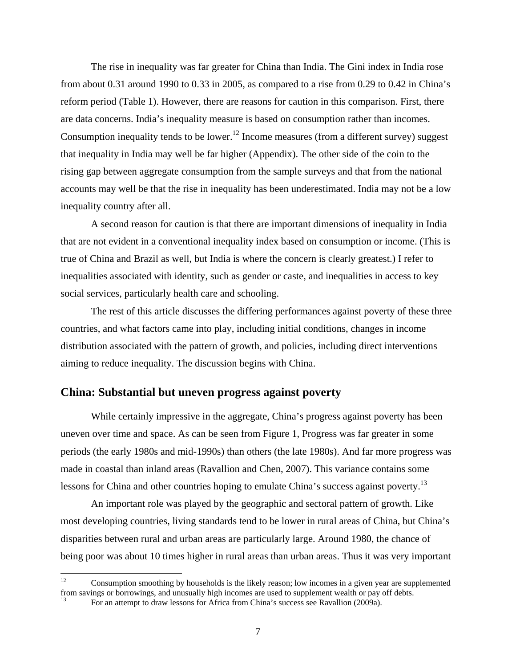The rise in inequality was far greater for China than India. The Gini index in India rose from about 0.31 around 1990 to 0.33 in 2005, as compared to a rise from 0.29 to 0.42 in China's reform period (Table 1). However, there are reasons for caution in this comparison. First, there are data concerns. India's inequality measure is based on consumption rather than incomes. Consumption inequality tends to be lower.<sup>12</sup> Income measures (from a different survey) suggest that inequality in India may well be far higher (Appendix). The other side of the coin to the rising gap between aggregate consumption from the sample surveys and that from the national accounts may well be that the rise in inequality has been underestimated. India may not be a low inequality country after all.

A second reason for caution is that there are important dimensions of inequality in India that are not evident in a conventional inequality index based on consumption or income. (This is true of China and Brazil as well, but India is where the concern is clearly greatest.) I refer to inequalities associated with identity, such as gender or caste, and inequalities in access to key social services, particularly health care and schooling.

The rest of this article discusses the differing performances against poverty of these three countries, and what factors came into play, including initial conditions, changes in income distribution associated with the pattern of growth, and policies, including direct interventions aiming to reduce inequality. The discussion begins with China.

#### **China: Substantial but uneven progress against poverty**

While certainly impressive in the aggregate, China's progress against poverty has been uneven over time and space. As can be seen from Figure 1, Progress was far greater in some periods (the early 1980s and mid-1990s) than others (the late 1980s). And far more progress was made in coastal than inland areas (Ravallion and Chen, 2007). This variance contains some lessons for China and other countries hoping to emulate China's success against poverty.<sup>13</sup>

An important role was played by the geographic and sectoral pattern of growth. Like most developing countries, living standards tend to be lower in rural areas of China, but China's disparities between rural and urban areas are particularly large. Around 1980, the chance of being poor was about 10 times higher in rural areas than urban areas. Thus it was very important

 $12$ 12 Consumption smoothing by households is the likely reason; low incomes in a given year are supplemented from savings or borrowings, and unusually high incomes are used to supplement wealth or pay off debts.

For an attempt to draw lessons for Africa from China's success see Ravallion (2009a).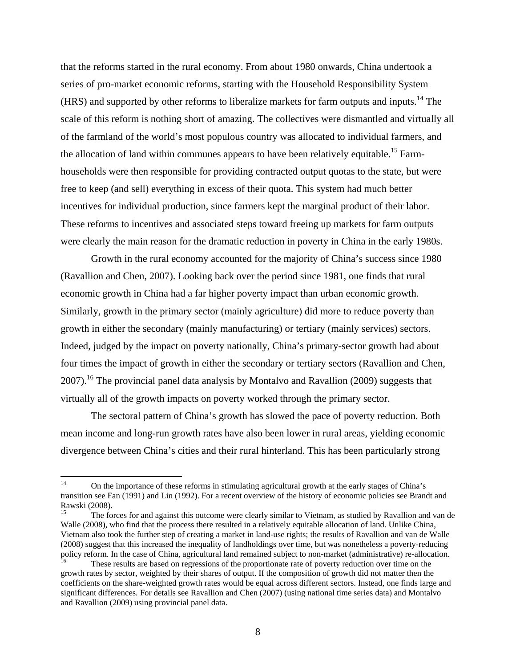that the reforms started in the rural economy. From about 1980 onwards, China undertook a series of pro-market economic reforms, starting with the Household Responsibility System (HRS) and supported by other reforms to liberalize markets for farm outputs and inputs.14 The scale of this reform is nothing short of amazing. The collectives were dismantled and virtually all of the farmland of the world's most populous country was allocated to individual farmers, and the allocation of land within communes appears to have been relatively equitable.<sup>15</sup> Farmhouseholds were then responsible for providing contracted output quotas to the state, but were free to keep (and sell) everything in excess of their quota. This system had much better incentives for individual production, since farmers kept the marginal product of their labor. These reforms to incentives and associated steps toward freeing up markets for farm outputs were clearly the main reason for the dramatic reduction in poverty in China in the early 1980s.

Growth in the rural economy accounted for the majority of China's success since 1980 (Ravallion and Chen, 2007). Looking back over the period since 1981, one finds that rural economic growth in China had a far higher poverty impact than urban economic growth. Similarly, growth in the primary sector (mainly agriculture) did more to reduce poverty than growth in either the secondary (mainly manufacturing) or tertiary (mainly services) sectors. Indeed, judged by the impact on poverty nationally, China's primary-sector growth had about four times the impact of growth in either the secondary or tertiary sectors (Ravallion and Chen,  $2007$ .<sup>16</sup> The provincial panel data analysis by Montalvo and Ravallion (2009) suggests that virtually all of the growth impacts on poverty worked through the primary sector.

The sectoral pattern of China's growth has slowed the pace of poverty reduction. Both mean income and long-run growth rates have also been lower in rural areas, yielding economic divergence between China's cities and their rural hinterland. This has been particularly strong

 $14$ 14 On the importance of these reforms in stimulating agricultural growth at the early stages of China's transition see Fan (1991) and Lin (1992). For a recent overview of the history of economic policies see Brandt and Rawski (2008).

The forces for and against this outcome were clearly similar to Vietnam, as studied by Ravallion and van de Walle (2008), who find that the process there resulted in a relatively equitable allocation of land. Unlike China, Vietnam also took the further step of creating a market in land-use rights; the results of Ravallion and van de Walle (2008) suggest that this increased the inequality of landholdings over time, but was nonetheless a poverty-reducing policy reform. In the case of China, agricultural land remained subject to non-market (administrative) re-allocation.<br>
These results are based on regressions of the proportionate rate of poverty reduction over time on the

growth rates by sector, weighted by their shares of output. If the composition of growth did not matter then the coefficients on the share-weighted growth rates would be equal across different sectors. Instead, one finds large and significant differences. For details see Ravallion and Chen (2007) (using national time series data) and Montalvo and Ravallion (2009) using provincial panel data.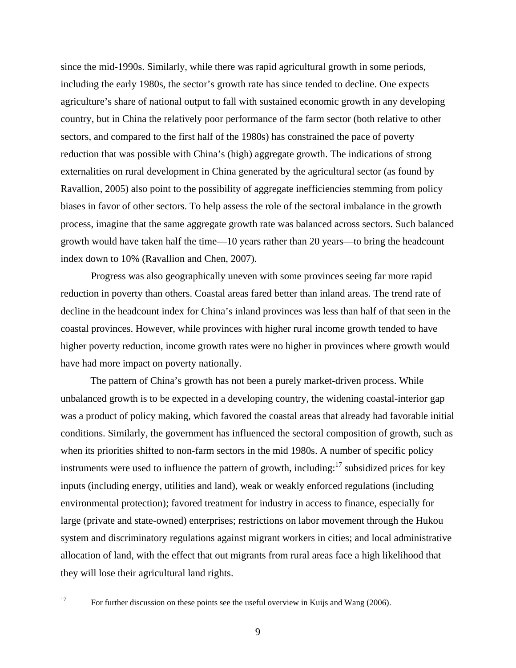since the mid-1990s. Similarly, while there was rapid agricultural growth in some periods, including the early 1980s, the sector's growth rate has since tended to decline. One expects agriculture's share of national output to fall with sustained economic growth in any developing country, but in China the relatively poor performance of the farm sector (both relative to other sectors, and compared to the first half of the 1980s) has constrained the pace of poverty reduction that was possible with China's (high) aggregate growth. The indications of strong externalities on rural development in China generated by the agricultural sector (as found by Ravallion, 2005) also point to the possibility of aggregate inefficiencies stemming from policy biases in favor of other sectors. To help assess the role of the sectoral imbalance in the growth process, imagine that the same aggregate growth rate was balanced across sectors. Such balanced growth would have taken half the time—10 years rather than 20 years—to bring the headcount index down to 10% (Ravallion and Chen, 2007).

Progress was also geographically uneven with some provinces seeing far more rapid reduction in poverty than others. Coastal areas fared better than inland areas. The trend rate of decline in the headcount index for China's inland provinces was less than half of that seen in the coastal provinces. However, while provinces with higher rural income growth tended to have higher poverty reduction, income growth rates were no higher in provinces where growth would have had more impact on poverty nationally.

The pattern of China's growth has not been a purely market-driven process. While unbalanced growth is to be expected in a developing country, the widening coastal-interior gap was a product of policy making, which favored the coastal areas that already had favorable initial conditions. Similarly, the government has influenced the sectoral composition of growth, such as when its priorities shifted to non-farm sectors in the mid 1980s. A number of specific policy instruments were used to influence the pattern of growth, including: $17$  subsidized prices for key inputs (including energy, utilities and land), weak or weakly enforced regulations (including environmental protection); favored treatment for industry in access to finance, especially for large (private and state-owned) enterprises; restrictions on labor movement through the Hukou system and discriminatory regulations against migrant workers in cities; and local administrative allocation of land, with the effect that out migrants from rural areas face a high likelihood that they will lose their agricultural land rights.

 $17\text{ }$ 

<sup>17</sup> For further discussion on these points see the useful overview in Kuijs and Wang (2006).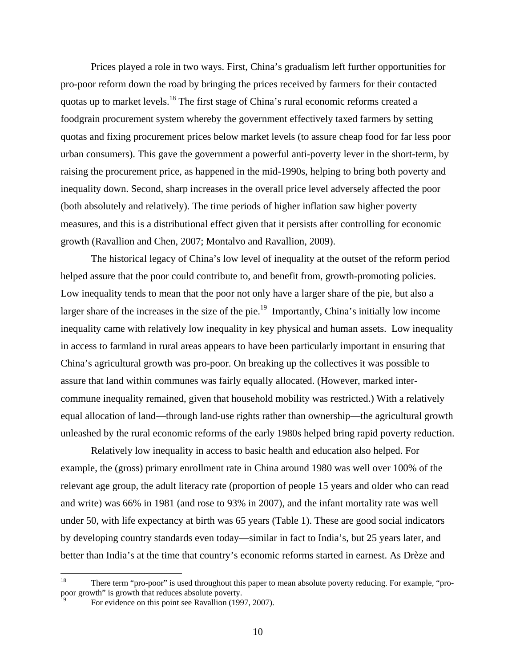Prices played a role in two ways. First, China's gradualism left further opportunities for pro-poor reform down the road by bringing the prices received by farmers for their contacted quotas up to market levels.18 The first stage of China's rural economic reforms created a foodgrain procurement system whereby the government effectively taxed farmers by setting quotas and fixing procurement prices below market levels (to assure cheap food for far less poor urban consumers). This gave the government a powerful anti-poverty lever in the short-term, by raising the procurement price, as happened in the mid-1990s, helping to bring both poverty and inequality down. Second, sharp increases in the overall price level adversely affected the poor (both absolutely and relatively). The time periods of higher inflation saw higher poverty measures, and this is a distributional effect given that it persists after controlling for economic growth (Ravallion and Chen, 2007; Montalvo and Ravallion, 2009).

The historical legacy of China's low level of inequality at the outset of the reform period helped assure that the poor could contribute to, and benefit from, growth-promoting policies. Low inequality tends to mean that the poor not only have a larger share of the pie, but also a larger share of the increases in the size of the pie.<sup>19</sup> Importantly, China's initially low income inequality came with relatively low inequality in key physical and human assets. Low inequality in access to farmland in rural areas appears to have been particularly important in ensuring that China's agricultural growth was pro-poor. On breaking up the collectives it was possible to assure that land within communes was fairly equally allocated. (However, marked intercommune inequality remained, given that household mobility was restricted.) With a relatively equal allocation of land—through land-use rights rather than ownership—the agricultural growth unleashed by the rural economic reforms of the early 1980s helped bring rapid poverty reduction.

Relatively low inequality in access to basic health and education also helped. For example, the (gross) primary enrollment rate in China around 1980 was well over 100% of the relevant age group, the adult literacy rate (proportion of people 15 years and older who can read and write) was 66% in 1981 (and rose to 93% in 2007), and the infant mortality rate was well under 50, with life expectancy at birth was 65 years (Table 1). These are good social indicators by developing country standards even today—similar in fact to India's, but 25 years later, and better than India's at the time that country's economic reforms started in earnest. As Drèze and

 $18\,$ There term "pro-poor" is used throughout this paper to mean absolute poverty reducing. For example, "propoor growth" is growth that reduces absolute poverty.

For evidence on this point see Ravallion (1997, 2007).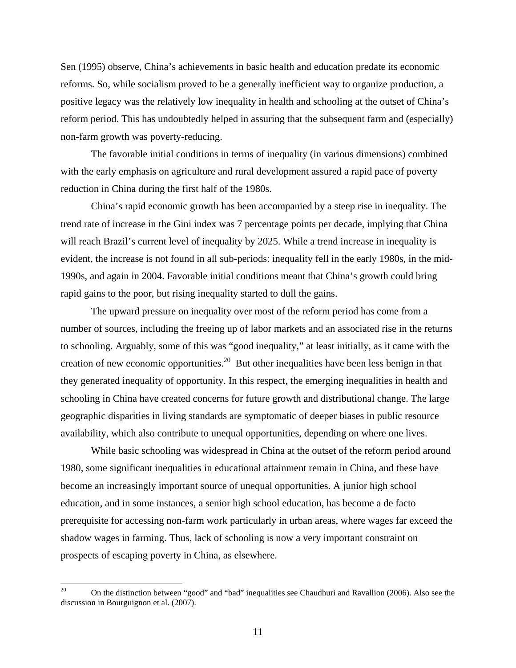Sen (1995) observe, China's achievements in basic health and education predate its economic reforms. So, while socialism proved to be a generally inefficient way to organize production, a positive legacy was the relatively low inequality in health and schooling at the outset of China's reform period. This has undoubtedly helped in assuring that the subsequent farm and (especially) non-farm growth was poverty-reducing.

The favorable initial conditions in terms of inequality (in various dimensions) combined with the early emphasis on agriculture and rural development assured a rapid pace of poverty reduction in China during the first half of the 1980s.

China's rapid economic growth has been accompanied by a steep rise in inequality. The trend rate of increase in the Gini index was 7 percentage points per decade, implying that China will reach Brazil's current level of inequality by 2025. While a trend increase in inequality is evident, the increase is not found in all sub-periods: inequality fell in the early 1980s, in the mid-1990s, and again in 2004. Favorable initial conditions meant that China's growth could bring rapid gains to the poor, but rising inequality started to dull the gains.

The upward pressure on inequality over most of the reform period has come from a number of sources, including the freeing up of labor markets and an associated rise in the returns to schooling. Arguably, some of this was "good inequality," at least initially, as it came with the creation of new economic opportunities.<sup>20</sup> But other inequalities have been less benign in that they generated inequality of opportunity. In this respect, the emerging inequalities in health and schooling in China have created concerns for future growth and distributional change. The large geographic disparities in living standards are symptomatic of deeper biases in public resource availability, which also contribute to unequal opportunities, depending on where one lives.

While basic schooling was widespread in China at the outset of the reform period around 1980, some significant inequalities in educational attainment remain in China, and these have become an increasingly important source of unequal opportunities. A junior high school education, and in some instances, a senior high school education, has become a de facto prerequisite for accessing non-farm work particularly in urban areas, where wages far exceed the shadow wages in farming. Thus, lack of schooling is now a very important constraint on prospects of escaping poverty in China, as elsewhere.

 $20\,$ 20 On the distinction between "good" and "bad" inequalities see Chaudhuri and Ravallion (2006). Also see the discussion in Bourguignon et al. (2007).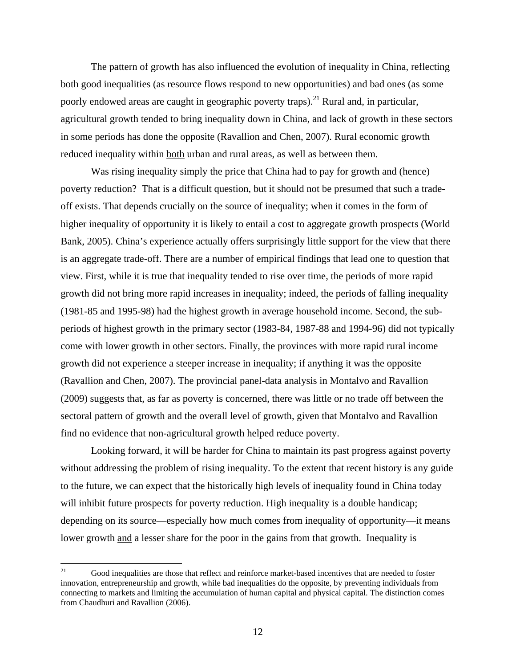The pattern of growth has also influenced the evolution of inequality in China, reflecting both good inequalities (as resource flows respond to new opportunities) and bad ones (as some poorly endowed areas are caught in geographic poverty traps).<sup>21</sup> Rural and, in particular, agricultural growth tended to bring inequality down in China, and lack of growth in these sectors in some periods has done the opposite (Ravallion and Chen, 2007). Rural economic growth reduced inequality within both urban and rural areas, as well as between them.

Was rising inequality simply the price that China had to pay for growth and (hence) poverty reduction? That is a difficult question, but it should not be presumed that such a tradeoff exists. That depends crucially on the source of inequality; when it comes in the form of higher inequality of opportunity it is likely to entail a cost to aggregate growth prospects (World Bank, 2005). China's experience actually offers surprisingly little support for the view that there is an aggregate trade-off. There are a number of empirical findings that lead one to question that view. First, while it is true that inequality tended to rise over time, the periods of more rapid growth did not bring more rapid increases in inequality; indeed, the periods of falling inequality (1981-85 and 1995-98) had the highest growth in average household income. Second, the subperiods of highest growth in the primary sector (1983-84, 1987-88 and 1994-96) did not typically come with lower growth in other sectors. Finally, the provinces with more rapid rural income growth did not experience a steeper increase in inequality; if anything it was the opposite (Ravallion and Chen, 2007). The provincial panel-data analysis in Montalvo and Ravallion (2009) suggests that, as far as poverty is concerned, there was little or no trade off between the sectoral pattern of growth and the overall level of growth, given that Montalvo and Ravallion find no evidence that non-agricultural growth helped reduce poverty.

Looking forward, it will be harder for China to maintain its past progress against poverty without addressing the problem of rising inequality. To the extent that recent history is any guide to the future, we can expect that the historically high levels of inequality found in China today will inhibit future prospects for poverty reduction. High inequality is a double handicap; depending on its source—especially how much comes from inequality of opportunity—it means lower growth and a lesser share for the poor in the gains from that growth. Inequality is

 $21$ Good inequalities are those that reflect and reinforce market-based incentives that are needed to foster innovation, entrepreneurship and growth, while bad inequalities do the opposite, by preventing individuals from connecting to markets and limiting the accumulation of human capital and physical capital. The distinction comes from Chaudhuri and Ravallion (2006).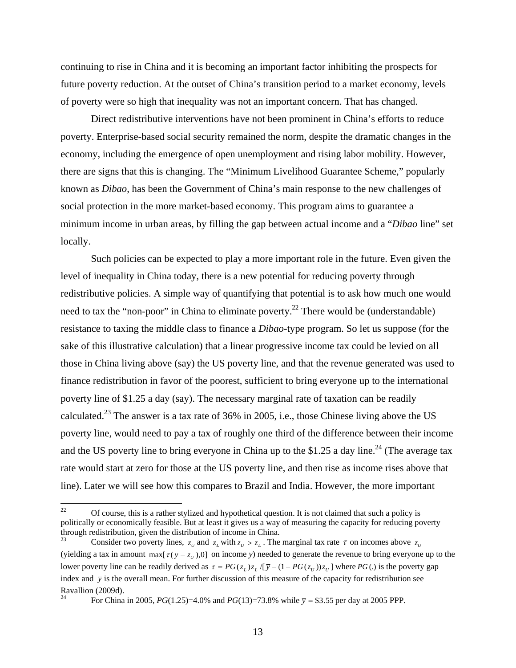continuing to rise in China and it is becoming an important factor inhibiting the prospects for future poverty reduction. At the outset of China's transition period to a market economy, levels of poverty were so high that inequality was not an important concern. That has changed.

Direct redistributive interventions have not been prominent in China's efforts to reduce poverty. Enterprise-based social security remained the norm, despite the dramatic changes in the economy, including the emergence of open unemployment and rising labor mobility. However, there are signs that this is changing. The "Minimum Livelihood Guarantee Scheme," popularly known as *Dibao*, has been the Government of China's main response to the new challenges of social protection in the more market-based economy. This program aims to guarantee a minimum income in urban areas, by filling the gap between actual income and a "*Dibao* line" set locally.

Such policies can be expected to play a more important role in the future. Even given the level of inequality in China today, there is a new potential for reducing poverty through redistributive policies. A simple way of quantifying that potential is to ask how much one would need to tax the "non-poor" in China to eliminate poverty.<sup>22</sup> There would be (understandable) resistance to taxing the middle class to finance a *Dibao*-type program. So let us suppose (for the sake of this illustrative calculation) that a linear progressive income tax could be levied on all those in China living above (say) the US poverty line, and that the revenue generated was used to finance redistribution in favor of the poorest, sufficient to bring everyone up to the international poverty line of \$1.25 a day (say). The necessary marginal rate of taxation can be readily calculated.<sup>23</sup> The answer is a tax rate of 36% in 2005, i.e., those Chinese living above the US poverty line, would need to pay a tax of roughly one third of the difference between their income and the US poverty line to bring everyone in China up to the \$1.25 a day line.<sup>24</sup> (The average tax rate would start at zero for those at the US poverty line, and then rise as income rises above that line). Later we will see how this compares to Brazil and India. However, the more important

 $22$ 22 Of course, this is a rather stylized and hypothetical question. It is not claimed that such a policy is politically or economically feasible. But at least it gives us a way of measuring the capacity for reducing poverty through redistribution, given the distribution of income in China.

Consider two poverty lines,  $z_U$  and  $z_L$  with  $z_U > z_L$ . The marginal tax rate  $\tau$  on incomes above  $z_U$ (yielding a tax in amount max $[\tau(y - z_{ij}),0]$  on income *y*) needed to generate the revenue to bring everyone up to the lower poverty line can be readily derived as  $\tau = PG(z_i) z_i / [\overline{y} - (1 - PG(z_i)) z_i]$  where  $PG(.)$  is the poverty gap index and  $\bar{y}$  is the overall mean. For further discussion of this measure of the capacity for redistribution see Ravallion (2009d).

For China in 2005, *PG*(1.25)=4.0% and *PG*(13)=73.8% while  $\bar{v}$  = \$3.55 per day at 2005 PPP.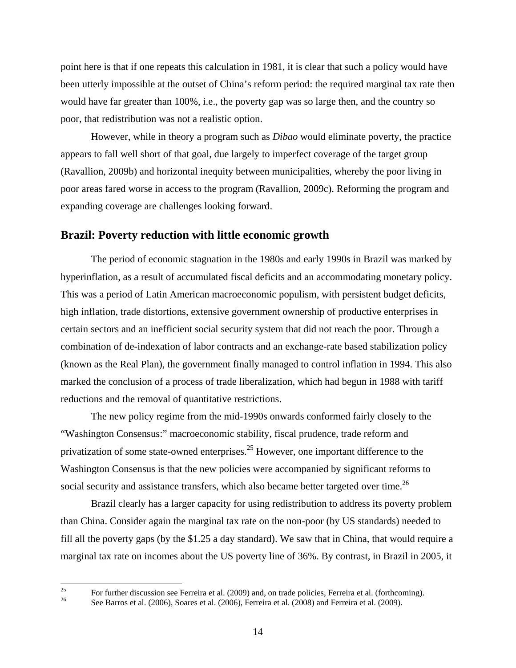point here is that if one repeats this calculation in 1981, it is clear that such a policy would have been utterly impossible at the outset of China's reform period: the required marginal tax rate then would have far greater than 100%, i.e., the poverty gap was so large then, and the country so poor, that redistribution was not a realistic option.

However, while in theory a program such as *Dibao* would eliminate poverty, the practice appears to fall well short of that goal, due largely to imperfect coverage of the target group (Ravallion, 2009b) and horizontal inequity between municipalities, whereby the poor living in poor areas fared worse in access to the program (Ravallion, 2009c). Reforming the program and expanding coverage are challenges looking forward.

#### **Brazil: Poverty reduction with little economic growth**

The period of economic stagnation in the 1980s and early 1990s in Brazil was marked by hyperinflation, as a result of accumulated fiscal deficits and an accommodating monetary policy. This was a period of Latin American macroeconomic populism, with persistent budget deficits, high inflation, trade distortions, extensive government ownership of productive enterprises in certain sectors and an inefficient social security system that did not reach the poor. Through a combination of de-indexation of labor contracts and an exchange-rate based stabilization policy (known as the Real Plan), the government finally managed to control inflation in 1994. This also marked the conclusion of a process of trade liberalization, which had begun in 1988 with tariff reductions and the removal of quantitative restrictions.

The new policy regime from the mid-1990s onwards conformed fairly closely to the "Washington Consensus:" macroeconomic stability, fiscal prudence, trade reform and privatization of some state-owned enterprises.<sup>25</sup> However, one important difference to the Washington Consensus is that the new policies were accompanied by significant reforms to social security and assistance transfers, which also became better targeted over time.<sup>26</sup>

Brazil clearly has a larger capacity for using redistribution to address its poverty problem than China. Consider again the marginal tax rate on the non-poor (by US standards) needed to fill all the poverty gaps (by the \$1.25 a day standard). We saw that in China, that would require a marginal tax rate on incomes about the US poverty line of 36%. By contrast, in Brazil in 2005, it

<sup>25</sup> <sup>25</sup> For further discussion see Ferreira et al. (2009) and, on trade policies, Ferreira et al. (forthcoming).<br><sup>26</sup> See Barros et al. (2006), Soares et al. (2006), Ferreira et al. (2008) and Ferreira et al. (2009).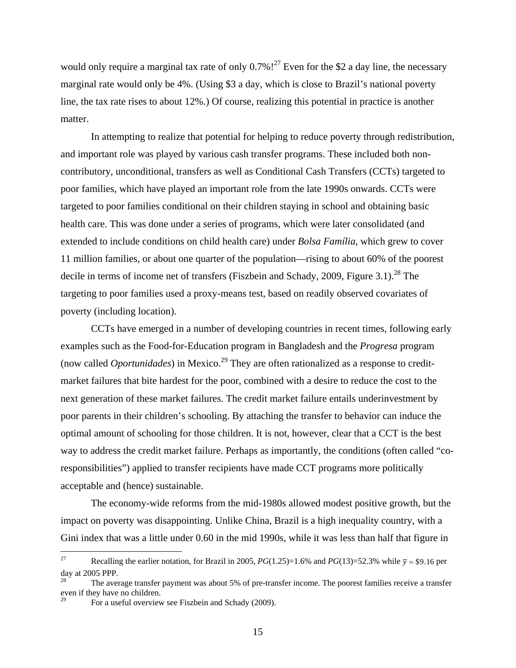would only require a marginal tax rate of only  $0.7\%$ !<sup>27</sup> Even for the \$2 a day line, the necessary marginal rate would only be 4%. (Using \$3 a day, which is close to Brazil's national poverty line, the tax rate rises to about 12%.) Of course, realizing this potential in practice is another matter.

In attempting to realize that potential for helping to reduce poverty through redistribution, and important role was played by various cash transfer programs. These included both noncontributory, unconditional, transfers as well as Conditional Cash Transfers (CCTs) targeted to poor families, which have played an important role from the late 1990s onwards. CCTs were targeted to poor families conditional on their children staying in school and obtaining basic health care. This was done under a series of programs, which were later consolidated (and extended to include conditions on child health care) under *Bolsa Família*, which grew to cover 11 million families, or about one quarter of the population—rising to about 60% of the poorest decile in terms of income net of transfers (Fiszbein and Schady, 2009, Figure 3.1).<sup>28</sup> The targeting to poor families used a proxy-means test, based on readily observed covariates of poverty (including location).

CCTs have emerged in a number of developing countries in recent times, following early examples such as the Food-for-Education program in Bangladesh and the *Progresa* program (now called *Oportunidades*) in Mexico.<sup>29</sup> They are often rationalized as a response to creditmarket failures that bite hardest for the poor, combined with a desire to reduce the cost to the next generation of these market failures. The credit market failure entails underinvestment by poor parents in their children's schooling. By attaching the transfer to behavior can induce the optimal amount of schooling for those children. It is not, however, clear that a CCT is the best way to address the credit market failure. Perhaps as importantly, the conditions (often called "coresponsibilities") applied to transfer recipients have made CCT programs more politically acceptable and (hence) sustainable.

The economy-wide reforms from the mid-1980s allowed modest positive growth, but the impact on poverty was disappointing. Unlike China, Brazil is a high inequality country, with a Gini index that was a little under 0.60 in the mid 1990s, while it was less than half that figure in

<sup>27</sup> Recalling the earlier notation, for Brazil in 2005, *PG*(1.25)=1.6% and *PG*(13)=52.3% while  $\bar{y}$  = \$9.16 per day at 2005 PPP.

The average transfer payment was about 5% of pre-transfer income. The poorest families receive a transfer even if they have no children.

For a useful overview see Fiszbein and Schady (2009).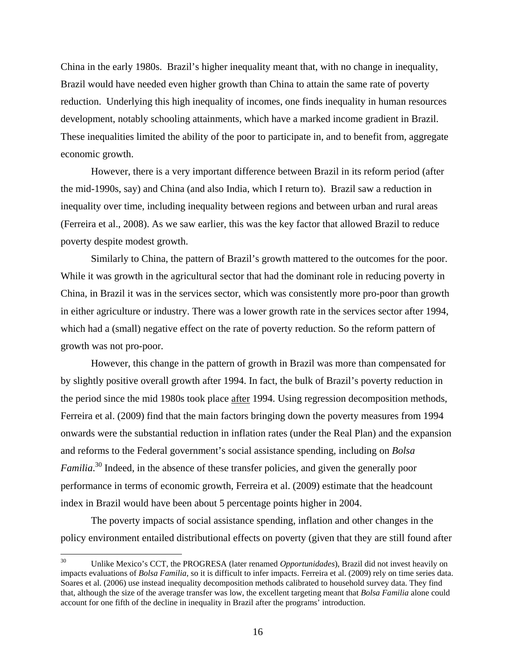China in the early 1980s. Brazil's higher inequality meant that, with no change in inequality, Brazil would have needed even higher growth than China to attain the same rate of poverty reduction. Underlying this high inequality of incomes, one finds inequality in human resources development, notably schooling attainments, which have a marked income gradient in Brazil. These inequalities limited the ability of the poor to participate in, and to benefit from, aggregate economic growth.

However, there is a very important difference between Brazil in its reform period (after the mid-1990s, say) and China (and also India, which I return to). Brazil saw a reduction in inequality over time, including inequality between regions and between urban and rural areas (Ferreira et al., 2008). As we saw earlier, this was the key factor that allowed Brazil to reduce poverty despite modest growth.

Similarly to China, the pattern of Brazil's growth mattered to the outcomes for the poor. While it was growth in the agricultural sector that had the dominant role in reducing poverty in China, in Brazil it was in the services sector, which was consistently more pro-poor than growth in either agriculture or industry. There was a lower growth rate in the services sector after 1994, which had a (small) negative effect on the rate of poverty reduction. So the reform pattern of growth was not pro-poor.

However, this change in the pattern of growth in Brazil was more than compensated for by slightly positive overall growth after 1994. In fact, the bulk of Brazil's poverty reduction in the period since the mid 1980s took place after 1994. Using regression decomposition methods, Ferreira et al. (2009) find that the main factors bringing down the poverty measures from 1994 onwards were the substantial reduction in inflation rates (under the Real Plan) and the expansion and reforms to the Federal government's social assistance spending, including on *Bolsa*  Familia.<sup>30</sup> Indeed, in the absence of these transfer policies, and given the generally poor performance in terms of economic growth, Ferreira et al. (2009) estimate that the headcount index in Brazil would have been about 5 percentage points higher in 2004.

The poverty impacts of social assistance spending, inflation and other changes in the policy environment entailed distributional effects on poverty (given that they are still found after

 $30\,$ 30 Unlike Mexico's CCT, the PROGRESA (later renamed *Opportunidades*), Brazil did not invest heavily on impacts evaluations of *Bolsa Familia*, so it is difficult to infer impacts. Ferreira et al. (2009) rely on time series data. Soares et al. (2006) use instead inequality decomposition methods calibrated to household survey data. They find that, although the size of the average transfer was low, the excellent targeting meant that *Bolsa Familia* alone could account for one fifth of the decline in inequality in Brazil after the programs' introduction.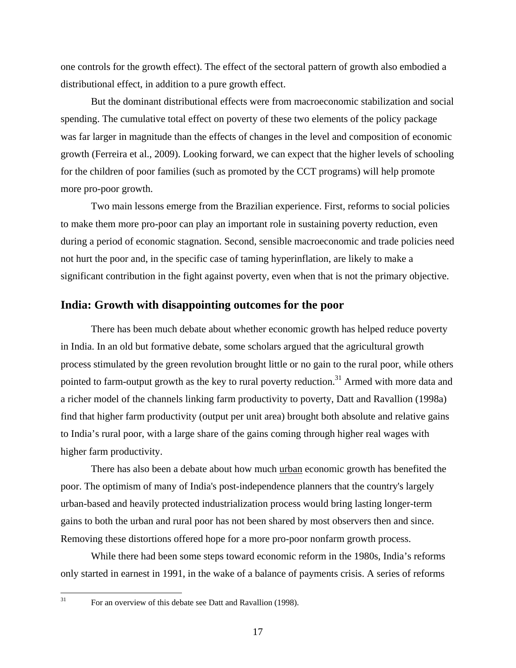one controls for the growth effect). The effect of the sectoral pattern of growth also embodied a distributional effect, in addition to a pure growth effect.

But the dominant distributional effects were from macroeconomic stabilization and social spending. The cumulative total effect on poverty of these two elements of the policy package was far larger in magnitude than the effects of changes in the level and composition of economic growth (Ferreira et al., 2009). Looking forward, we can expect that the higher levels of schooling for the children of poor families (such as promoted by the CCT programs) will help promote more pro-poor growth.

Two main lessons emerge from the Brazilian experience. First, reforms to social policies to make them more pro-poor can play an important role in sustaining poverty reduction, even during a period of economic stagnation. Second, sensible macroeconomic and trade policies need not hurt the poor and, in the specific case of taming hyperinflation, are likely to make a significant contribution in the fight against poverty, even when that is not the primary objective.

#### **India: Growth with disappointing outcomes for the poor**

There has been much debate about whether economic growth has helped reduce poverty in India. In an old but formative debate, some scholars argued that the agricultural growth process stimulated by the green revolution brought little or no gain to the rural poor, while others pointed to farm-output growth as the key to rural poverty reduction.<sup>31</sup> Armed with more data and a richer model of the channels linking farm productivity to poverty, Datt and Ravallion (1998a) find that higher farm productivity (output per unit area) brought both absolute and relative gains to India's rural poor, with a large share of the gains coming through higher real wages with higher farm productivity.

There has also been a debate about how much urban economic growth has benefited the poor. The optimism of many of India's post-independence planners that the country's largely urban-based and heavily protected industrialization process would bring lasting longer-term gains to both the urban and rural poor has not been shared by most observers then and since. Removing these distortions offered hope for a more pro-poor nonfarm growth process.

While there had been some steps toward economic reform in the 1980s, India's reforms only started in earnest in 1991, in the wake of a balance of payments crisis. A series of reforms

<sup>31</sup> For an overview of this debate see Datt and Ravallion (1998).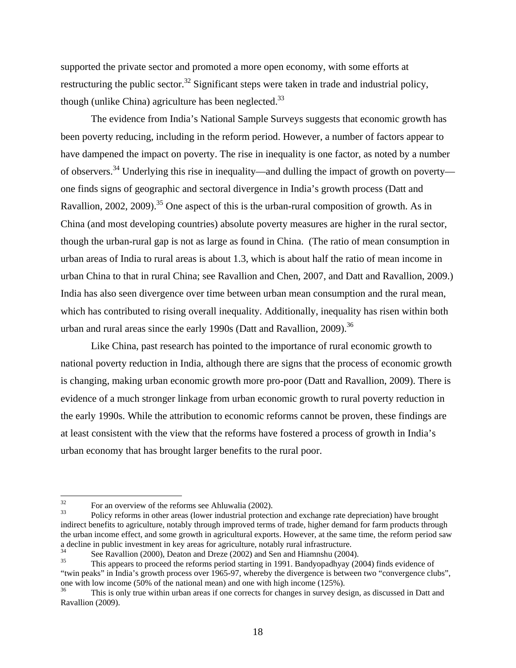supported the private sector and promoted a more open economy, with some efforts at restructuring the public sector.<sup>32</sup> Significant steps were taken in trade and industrial policy, though (unlike China) agriculture has been neglected. $33$ 

The evidence from India's National Sample Surveys suggests that economic growth has been poverty reducing, including in the reform period. However, a number of factors appear to have dampened the impact on poverty. The rise in inequality is one factor, as noted by a number of observers.34 Underlying this rise in inequality—and dulling the impact of growth on poverty one finds signs of geographic and sectoral divergence in India's growth process (Datt and Ravallion, 2002, 2009).<sup>35</sup> One aspect of this is the urban-rural composition of growth. As in China (and most developing countries) absolute poverty measures are higher in the rural sector, though the urban-rural gap is not as large as found in China. (The ratio of mean consumption in urban areas of India to rural areas is about 1.3, which is about half the ratio of mean income in urban China to that in rural China; see Ravallion and Chen, 2007, and Datt and Ravallion, 2009.) India has also seen divergence over time between urban mean consumption and the rural mean, which has contributed to rising overall inequality. Additionally, inequality has risen within both urban and rural areas since the early 1990s (Datt and Ravallion, 2009).<sup>36</sup>

Like China, past research has pointed to the importance of rural economic growth to national poverty reduction in India, although there are signs that the process of economic growth is changing, making urban economic growth more pro-poor (Datt and Ravallion, 2009). There is evidence of a much stronger linkage from urban economic growth to rural poverty reduction in the early 1990s. While the attribution to economic reforms cannot be proven, these findings are at least consistent with the view that the reforms have fostered a process of growth in India's urban economy that has brought larger benefits to the rural poor.

<sup>32</sup>  $\frac{32}{33}$  For an overview of the reforms see Ahluwalia (2002).

<sup>33</sup> Policy reforms in other areas (lower industrial protection and exchange rate depreciation) have brought indirect benefits to agriculture, notably through improved terms of trade, higher demand for farm products through the urban income effect, and some growth in agricultural exports. However, at the same time, the reform period saw a decline in public investment in key areas for agriculture, notably rural infrastructure.

<sup>&</sup>lt;sup>34</sup> See Ravallion (2000), Deaton and Dreze (2002) and Sen and Hiamnshu (2004).<br><sup>35</sup> This appears to proceed the reforms period starting in 1991. Bandyopadhyay (2004) finds evidence of "twin peaks" in India's growth process over 1965-97, whereby the divergence is between two "convergence clubs", one with low income (50% of the national mean) and one with high income (125%).<br> $\frac{36}{100}$  This is only true within urban areas if one corrects for changes in survey dec

This is only true within urban areas if one corrects for changes in survey design, as discussed in Datt and Ravallion (2009).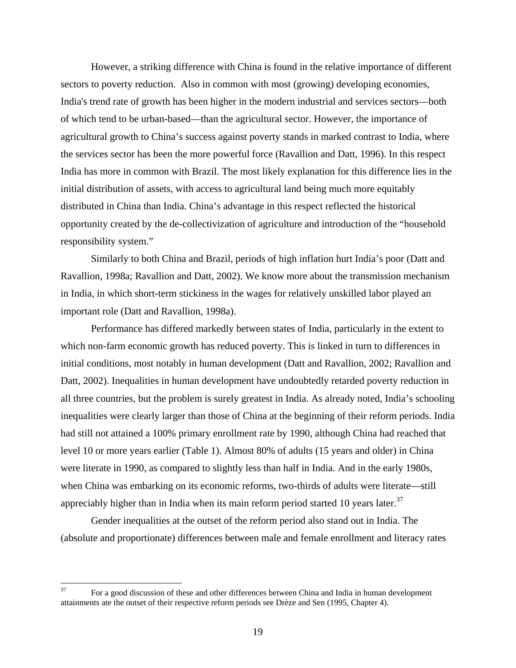However, a striking difference with China is found in the relative importance of different sectors to poverty reduction. Also in common with most (growing) developing economies, India's trend rate of growth has been higher in the modern industrial and services sectors—both of which tend to be urban-based—than the agricultural sector. However, the importance of agricultural growth to China's success against poverty stands in marked contrast to India, where the services sector has been the more powerful force (Ravallion and Datt, 1996). In this respect India has more in common with Brazil. The most likely explanation for this difference lies in the initial distribution of assets, with access to agricultural land being much more equitably distributed in China than India. China's advantage in this respect reflected the historical opportunity created by the de-collectivization of agriculture and introduction of the "household responsibility system."

Similarly to both China and Brazil, periods of high inflation hurt India's poor (Datt and Ravallion, 1998a; Ravallion and Datt, 2002). We know more about the transmission mechanism in India, in which short-term stickiness in the wages for relatively unskilled labor played an important role (Datt and Ravallion, 1998a).

Performance has differed markedly between states of India, particularly in the extent to which non-farm economic growth has reduced poverty. This is linked in turn to differences in initial conditions, most notably in human development (Datt and Ravallion, 2002; Ravallion and Datt, 2002). Inequalities in human development have undoubtedly retarded poverty reduction in all three countries, but the problem is surely greatest in India. As already noted, India's schooling inequalities were clearly larger than those of China at the beginning of their reform periods. India had still not attained a 100% primary enrollment rate by 1990, although China had reached that level 10 or more years earlier (Table 1). Almost 80% of adults (15 years and older) in China were literate in 1990, as compared to slightly less than half in India. And in the early 1980s, when China was embarking on its economic reforms, two-thirds of adults were literate—still appreciably higher than in India when its main reform period started 10 years later.<sup>37</sup>

Gender inequalities at the outset of the reform period also stand out in India. The (absolute and proportionate) differences between male and female enrollment and literacy rates

<sup>37</sup> 37 For a good discussion of these and other differences between China and India in human development attainments ate the outset of their respective reform periods see Drèze and Sen (1995, Chapter 4).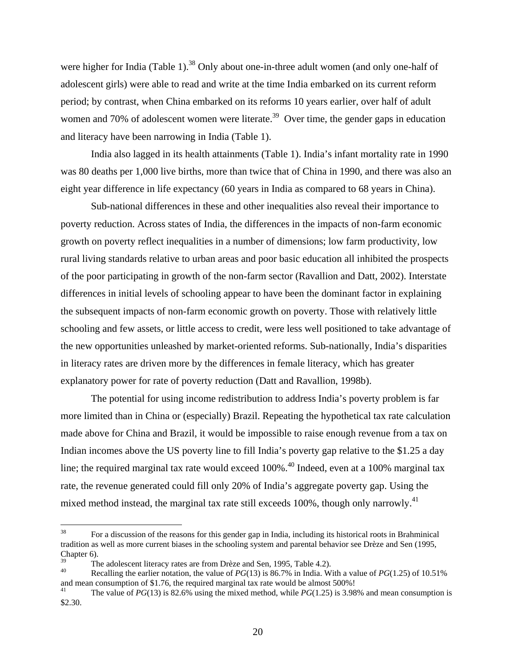were higher for India (Table 1).<sup>38</sup> Only about one-in-three adult women (and only one-half of adolescent girls) were able to read and write at the time India embarked on its current reform period; by contrast, when China embarked on its reforms 10 years earlier, over half of adult women and 70% of adolescent women were literate.<sup>39</sup> Over time, the gender gaps in education and literacy have been narrowing in India (Table 1).

India also lagged in its health attainments (Table 1). India's infant mortality rate in 1990 was 80 deaths per 1,000 live births, more than twice that of China in 1990, and there was also an eight year difference in life expectancy (60 years in India as compared to 68 years in China).

Sub-national differences in these and other inequalities also reveal their importance to poverty reduction. Across states of India, the differences in the impacts of non-farm economic growth on poverty reflect inequalities in a number of dimensions; low farm productivity, low rural living standards relative to urban areas and poor basic education all inhibited the prospects of the poor participating in growth of the non-farm sector (Ravallion and Datt, 2002). Interstate differences in initial levels of schooling appear to have been the dominant factor in explaining the subsequent impacts of non-farm economic growth on poverty. Those with relatively little schooling and few assets, or little access to credit, were less well positioned to take advantage of the new opportunities unleashed by market-oriented reforms. Sub-nationally, India's disparities in literacy rates are driven more by the differences in female literacy, which has greater explanatory power for rate of poverty reduction (Datt and Ravallion, 1998b).

The potential for using income redistribution to address India's poverty problem is far more limited than in China or (especially) Brazil. Repeating the hypothetical tax rate calculation made above for China and Brazil, it would be impossible to raise enough revenue from a tax on Indian incomes above the US poverty line to fill India's poverty gap relative to the \$1.25 a day line; the required marginal tax rate would exceed 100%.<sup>40</sup> Indeed, even at a 100% marginal tax rate, the revenue generated could fill only 20% of India's aggregate poverty gap. Using the mixed method instead, the marginal tax rate still exceeds 100%, though only narrowly.<sup>41</sup>

<sup>38</sup> 38 For a discussion of the reasons for this gender gap in India, including its historical roots in Brahminical tradition as well as more current biases in the schooling system and parental behavior see Drèze and Sen (1995, Chapter 6).

<sup>&</sup>lt;sup>39</sup> The adolescent literacy rates are from Drèze and Sen, 1995, Table 4.2).<br><sup>40</sup> Recalling the earlier notation, the value of *PG*(13) is 86.7% in India. With a value of *PG*(1.25) of 10.51% and mean consumption of \$1.76, the required marginal tax rate would be almost 500%!<br><sup>41</sup> The value of *PC*(13) is 82.6% using the mixed method, while *PC*(1.25) is 3.98

<sup>41</sup> The value of *PG*(13) is 82.6% using the mixed method, while *PG*(1.25) is 3.98% and mean consumption is \$2.30.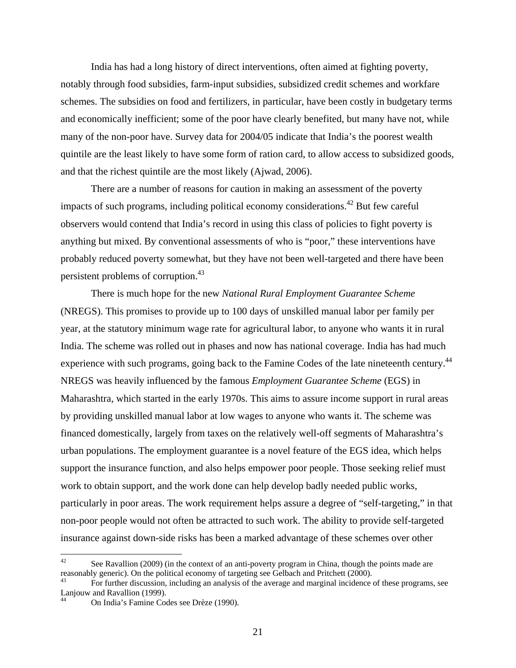India has had a long history of direct interventions, often aimed at fighting poverty, notably through food subsidies, farm-input subsidies, subsidized credit schemes and workfare schemes. The subsidies on food and fertilizers, in particular, have been costly in budgetary terms and economically inefficient; some of the poor have clearly benefited, but many have not, while many of the non-poor have. Survey data for 2004/05 indicate that India's the poorest wealth quintile are the least likely to have some form of ration card, to allow access to subsidized goods, and that the richest quintile are the most likely (Ajwad, 2006).

There are a number of reasons for caution in making an assessment of the poverty impacts of such programs, including political economy considerations.42 But few careful observers would contend that India's record in using this class of policies to fight poverty is anything but mixed. By conventional assessments of who is "poor," these interventions have probably reduced poverty somewhat, but they have not been well-targeted and there have been persistent problems of corruption.<sup>43</sup>

There is much hope for the new *National Rural Employment Guarantee Scheme*  (NREGS). This promises to provide up to 100 days of unskilled manual labor per family per year, at the statutory minimum wage rate for agricultural labor, to anyone who wants it in rural India. The scheme was rolled out in phases and now has national coverage. India has had much experience with such programs, going back to the Famine Codes of the late nineteenth century.<sup>44</sup> NREGS was heavily influenced by the famous *Employment Guarantee Scheme* (EGS) in Maharashtra, which started in the early 1970s. This aims to assure income support in rural areas by providing unskilled manual labor at low wages to anyone who wants it. The scheme was financed domestically, largely from taxes on the relatively well-off segments of Maharashtra's urban populations. The employment guarantee is a novel feature of the EGS idea, which helps support the insurance function, and also helps empower poor people. Those seeking relief must work to obtain support, and the work done can help develop badly needed public works, particularly in poor areas. The work requirement helps assure a degree of "self-targeting," in that non-poor people would not often be attracted to such work. The ability to provide self-targeted insurance against down-side risks has been a marked advantage of these schemes over other

<sup>42</sup> See Ravallion (2009) (in the context of an anti-poverty program in China, though the points made are reasonably generic). On the political economy of targeting see Gelbach and Pritchett (2000).<br><sup>43</sup> For further discussion, including an analysis of the average and marginal incidence of these programs, see

Lanjouw and Ravallion (1999).

On India's Famine Codes see Drèze (1990).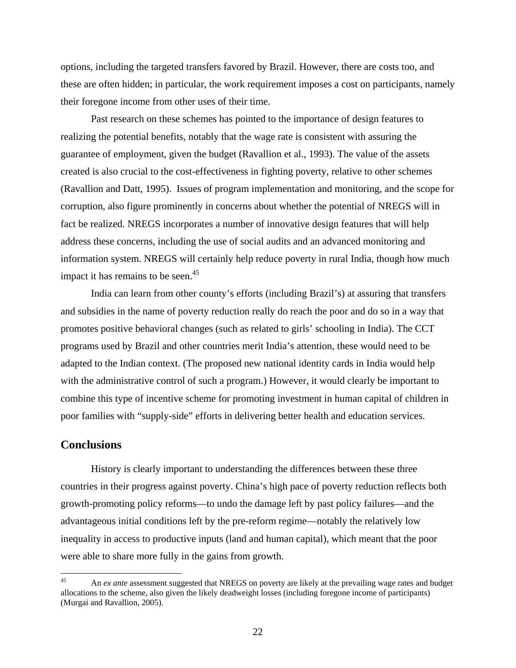options, including the targeted transfers favored by Brazil. However, there are costs too, and these are often hidden; in particular, the work requirement imposes a cost on participants, namely their foregone income from other uses of their time.

Past research on these schemes has pointed to the importance of design features to realizing the potential benefits, notably that the wage rate is consistent with assuring the guarantee of employment, given the budget (Ravallion et al., 1993). The value of the assets created is also crucial to the cost-effectiveness in fighting poverty, relative to other schemes (Ravallion and Datt, 1995). Issues of program implementation and monitoring, and the scope for corruption, also figure prominently in concerns about whether the potential of NREGS will in fact be realized. NREGS incorporates a number of innovative design features that will help address these concerns, including the use of social audits and an advanced monitoring and information system. NREGS will certainly help reduce poverty in rural India, though how much impact it has remains to be seen. $45$ 

India can learn from other county's efforts (including Brazil's) at assuring that transfers and subsidies in the name of poverty reduction really do reach the poor and do so in a way that promotes positive behavioral changes (such as related to girls' schooling in India). The CCT programs used by Brazil and other countries merit India's attention, these would need to be adapted to the Indian context. (The proposed new national identity cards in India would help with the administrative control of such a program.) However, it would clearly be important to combine this type of incentive scheme for promoting investment in human capital of children in poor families with "supply-side" efforts in delivering better health and education services.

#### **Conclusions**

History is clearly important to understanding the differences between these three countries in their progress against poverty. China's high pace of poverty reduction reflects both growth-promoting policy reforms—to undo the damage left by past policy failures—and the advantageous initial conditions left by the pre-reform regime—notably the relatively low inequality in access to productive inputs (land and human capital), which meant that the poor were able to share more fully in the gains from growth.

<sup>45</sup> An *ex ante* assessment suggested that NREGS on poverty are likely at the prevailing wage rates and budget allocations to the scheme, also given the likely deadweight losses (including foregone income of participants) (Murgai and Ravallion, 2005).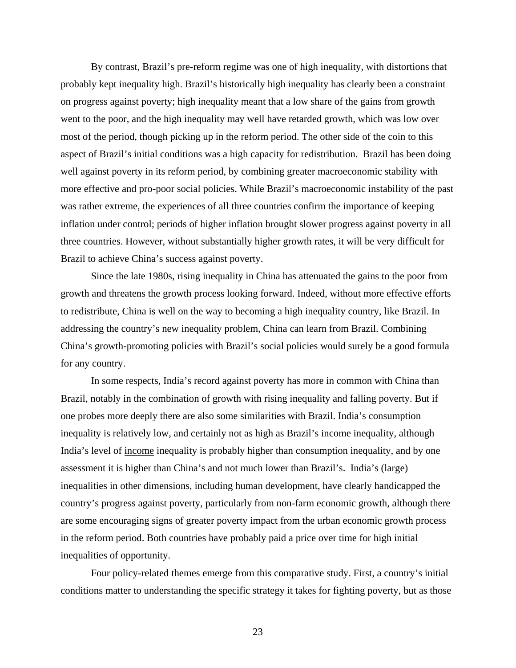By contrast, Brazil's pre-reform regime was one of high inequality, with distortions that probably kept inequality high. Brazil's historically high inequality has clearly been a constraint on progress against poverty; high inequality meant that a low share of the gains from growth went to the poor, and the high inequality may well have retarded growth, which was low over most of the period, though picking up in the reform period. The other side of the coin to this aspect of Brazil's initial conditions was a high capacity for redistribution. Brazil has been doing well against poverty in its reform period, by combining greater macroeconomic stability with more effective and pro-poor social policies. While Brazil's macroeconomic instability of the past was rather extreme, the experiences of all three countries confirm the importance of keeping inflation under control; periods of higher inflation brought slower progress against poverty in all three countries. However, without substantially higher growth rates, it will be very difficult for Brazil to achieve China's success against poverty.

Since the late 1980s, rising inequality in China has attenuated the gains to the poor from growth and threatens the growth process looking forward. Indeed, without more effective efforts to redistribute, China is well on the way to becoming a high inequality country, like Brazil. In addressing the country's new inequality problem, China can learn from Brazil. Combining China's growth-promoting policies with Brazil's social policies would surely be a good formula for any country.

In some respects, India's record against poverty has more in common with China than Brazil, notably in the combination of growth with rising inequality and falling poverty. But if one probes more deeply there are also some similarities with Brazil. India's consumption inequality is relatively low, and certainly not as high as Brazil's income inequality, although India's level of income inequality is probably higher than consumption inequality, and by one assessment it is higher than China's and not much lower than Brazil's. India's (large) inequalities in other dimensions, including human development, have clearly handicapped the country's progress against poverty, particularly from non-farm economic growth, although there are some encouraging signs of greater poverty impact from the urban economic growth process in the reform period. Both countries have probably paid a price over time for high initial inequalities of opportunity.

Four policy-related themes emerge from this comparative study. First, a country's initial conditions matter to understanding the specific strategy it takes for fighting poverty, but as those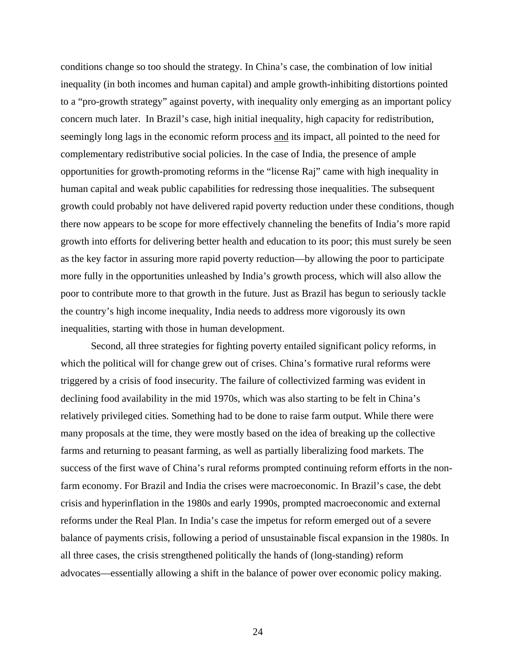conditions change so too should the strategy. In China's case, the combination of low initial inequality (in both incomes and human capital) and ample growth-inhibiting distortions pointed to a "pro-growth strategy" against poverty, with inequality only emerging as an important policy concern much later. In Brazil's case, high initial inequality, high capacity for redistribution, seemingly long lags in the economic reform process and its impact, all pointed to the need for complementary redistributive social policies. In the case of India, the presence of ample opportunities for growth-promoting reforms in the "license Raj" came with high inequality in human capital and weak public capabilities for redressing those inequalities. The subsequent growth could probably not have delivered rapid poverty reduction under these conditions, though there now appears to be scope for more effectively channeling the benefits of India's more rapid growth into efforts for delivering better health and education to its poor; this must surely be seen as the key factor in assuring more rapid poverty reduction—by allowing the poor to participate more fully in the opportunities unleashed by India's growth process, which will also allow the poor to contribute more to that growth in the future. Just as Brazil has begun to seriously tackle the country's high income inequality, India needs to address more vigorously its own inequalities, starting with those in human development.

Second, all three strategies for fighting poverty entailed significant policy reforms, in which the political will for change grew out of crises. China's formative rural reforms were triggered by a crisis of food insecurity. The failure of collectivized farming was evident in declining food availability in the mid 1970s, which was also starting to be felt in China's relatively privileged cities. Something had to be done to raise farm output. While there were many proposals at the time, they were mostly based on the idea of breaking up the collective farms and returning to peasant farming, as well as partially liberalizing food markets. The success of the first wave of China's rural reforms prompted continuing reform efforts in the nonfarm economy. For Brazil and India the crises were macroeconomic. In Brazil's case, the debt crisis and hyperinflation in the 1980s and early 1990s, prompted macroeconomic and external reforms under the Real Plan. In India's case the impetus for reform emerged out of a severe balance of payments crisis, following a period of unsustainable fiscal expansion in the 1980s. In all three cases, the crisis strengthened politically the hands of (long-standing) reform advocates—essentially allowing a shift in the balance of power over economic policy making.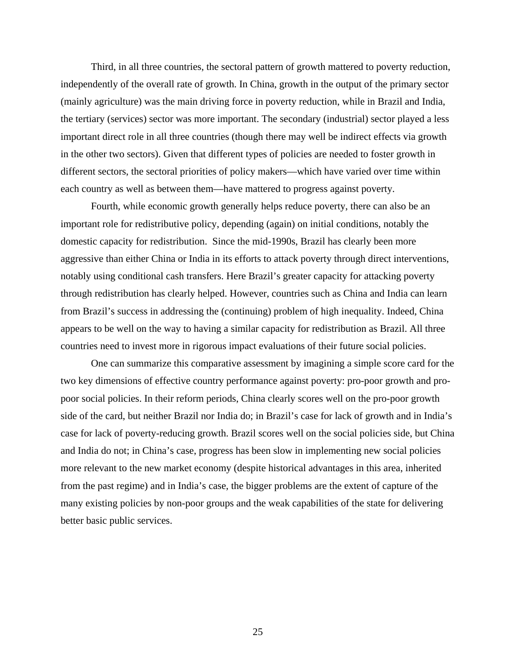Third, in all three countries, the sectoral pattern of growth mattered to poverty reduction, independently of the overall rate of growth. In China, growth in the output of the primary sector (mainly agriculture) was the main driving force in poverty reduction, while in Brazil and India, the tertiary (services) sector was more important. The secondary (industrial) sector played a less important direct role in all three countries (though there may well be indirect effects via growth in the other two sectors). Given that different types of policies are needed to foster growth in different sectors, the sectoral priorities of policy makers—which have varied over time within each country as well as between them—have mattered to progress against poverty.

Fourth, while economic growth generally helps reduce poverty, there can also be an important role for redistributive policy, depending (again) on initial conditions, notably the domestic capacity for redistribution. Since the mid-1990s, Brazil has clearly been more aggressive than either China or India in its efforts to attack poverty through direct interventions, notably using conditional cash transfers. Here Brazil's greater capacity for attacking poverty through redistribution has clearly helped. However, countries such as China and India can learn from Brazil's success in addressing the (continuing) problem of high inequality. Indeed, China appears to be well on the way to having a similar capacity for redistribution as Brazil. All three countries need to invest more in rigorous impact evaluations of their future social policies.

One can summarize this comparative assessment by imagining a simple score card for the two key dimensions of effective country performance against poverty: pro-poor growth and propoor social policies. In their reform periods, China clearly scores well on the pro-poor growth side of the card, but neither Brazil nor India do; in Brazil's case for lack of growth and in India's case for lack of poverty-reducing growth. Brazil scores well on the social policies side, but China and India do not; in China's case, progress has been slow in implementing new social policies more relevant to the new market economy (despite historical advantages in this area, inherited from the past regime) and in India's case, the bigger problems are the extent of capture of the many existing policies by non-poor groups and the weak capabilities of the state for delivering better basic public services.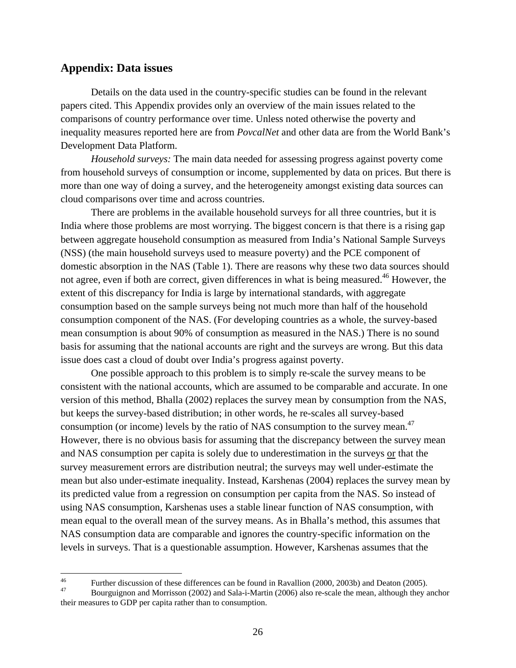# **Appendix: Data issues**

Details on the data used in the country-specific studies can be found in the relevant papers cited. This Appendix provides only an overview of the main issues related to the comparisons of country performance over time. Unless noted otherwise the poverty and inequality measures reported here are from *PovcalNet* and other data are from the World Bank's Development Data Platform.

*Household surveys:* The main data needed for assessing progress against poverty come from household surveys of consumption or income, supplemented by data on prices. But there is more than one way of doing a survey, and the heterogeneity amongst existing data sources can cloud comparisons over time and across countries.

There are problems in the available household surveys for all three countries, but it is India where those problems are most worrying. The biggest concern is that there is a rising gap between aggregate household consumption as measured from India's National Sample Surveys (NSS) (the main household surveys used to measure poverty) and the PCE component of domestic absorption in the NAS (Table 1). There are reasons why these two data sources should not agree, even if both are correct, given differences in what is being measured.<sup>46</sup> However, the extent of this discrepancy for India is large by international standards, with aggregate consumption based on the sample surveys being not much more than half of the household consumption component of the NAS. (For developing countries as a whole, the survey-based mean consumption is about 90% of consumption as measured in the NAS.) There is no sound basis for assuming that the national accounts are right and the surveys are wrong. But this data issue does cast a cloud of doubt over India's progress against poverty.

One possible approach to this problem is to simply re-scale the survey means to be consistent with the national accounts, which are assumed to be comparable and accurate. In one version of this method, Bhalla (2002) replaces the survey mean by consumption from the NAS, but keeps the survey-based distribution; in other words, he re-scales all survey-based consumption (or income) levels by the ratio of NAS consumption to the survey mean.<sup>47</sup> However, there is no obvious basis for assuming that the discrepancy between the survey mean and NAS consumption per capita is solely due to underestimation in the surveys or that the survey measurement errors are distribution neutral; the surveys may well under-estimate the mean but also under-estimate inequality. Instead, Karshenas (2004) replaces the survey mean by its predicted value from a regression on consumption per capita from the NAS. So instead of using NAS consumption, Karshenas uses a stable linear function of NAS consumption, with mean equal to the overall mean of the survey means. As in Bhalla's method, this assumes that NAS consumption data are comparable and ignores the country-specific information on the levels in surveys. That is a questionable assumption. However, Karshenas assumes that the

 $46$ <sup>46</sup> Further discussion of these differences can be found in Ravallion (2000, 2003b) and Deaton (2005).<br>Pourguings and Morrisson (2002) and Sala i Martin (2006) also re-scale the mean although that a

<sup>47</sup> Bourguignon and Morrisson (2002) and Sala-i-Martin (2006) also re-scale the mean, although they anchor their measures to GDP per capita rather than to consumption.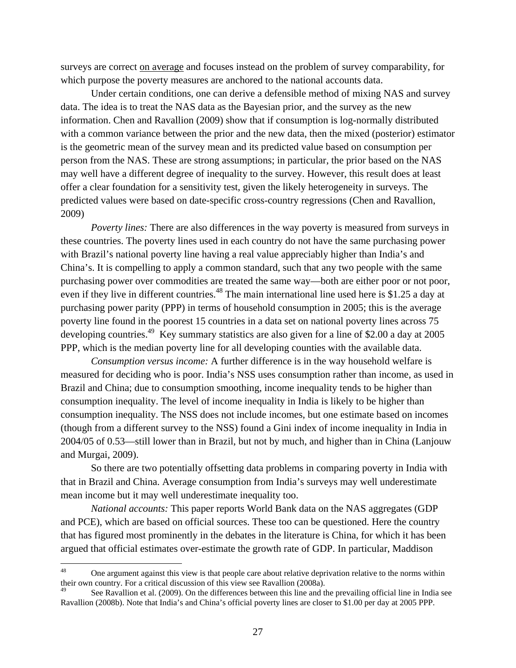surveys are correct on average and focuses instead on the problem of survey comparability, for which purpose the poverty measures are anchored to the national accounts data.

Under certain conditions, one can derive a defensible method of mixing NAS and survey data. The idea is to treat the NAS data as the Bayesian prior, and the survey as the new information. Chen and Ravallion (2009) show that if consumption is log-normally distributed with a common variance between the prior and the new data, then the mixed (posterior) estimator is the geometric mean of the survey mean and its predicted value based on consumption per person from the NAS. These are strong assumptions; in particular, the prior based on the NAS may well have a different degree of inequality to the survey. However, this result does at least offer a clear foundation for a sensitivity test, given the likely heterogeneity in surveys. The predicted values were based on date-specific cross-country regressions (Chen and Ravallion, 2009)

*Poverty lines:* There are also differences in the way poverty is measured from surveys in these countries. The poverty lines used in each country do not have the same purchasing power with Brazil's national poverty line having a real value appreciably higher than India's and China's. It is compelling to apply a common standard, such that any two people with the same purchasing power over commodities are treated the same way—both are either poor or not poor, even if they live in different countries.<sup>48</sup> The main international line used here is \$1.25 a day at purchasing power parity (PPP) in terms of household consumption in 2005; this is the average poverty line found in the poorest 15 countries in a data set on national poverty lines across 75 developing countries.<sup>49</sup> Key summary statistics are also given for a line of \$2.00 a day at 2005 PPP, which is the median poverty line for all developing counties with the available data.

*Consumption versus income:* A further difference is in the way household welfare is measured for deciding who is poor. India's NSS uses consumption rather than income, as used in Brazil and China; due to consumption smoothing, income inequality tends to be higher than consumption inequality. The level of income inequality in India is likely to be higher than consumption inequality. The NSS does not include incomes, but one estimate based on incomes (though from a different survey to the NSS) found a Gini index of income inequality in India in 2004/05 of 0.53—still lower than in Brazil, but not by much, and higher than in China (Lanjouw and Murgai, 2009).

So there are two potentially offsetting data problems in comparing poverty in India with that in Brazil and China. Average consumption from India's surveys may well underestimate mean income but it may well underestimate inequality too.

*National accounts:* This paper reports World Bank data on the NAS aggregates (GDP and PCE), which are based on official sources. These too can be questioned. Here the country that has figured most prominently in the debates in the literature is China, for which it has been argued that official estimates over-estimate the growth rate of GDP. In particular, Maddison

<sup>48</sup> One argument against this view is that people care about relative deprivation relative to the norms within their own country. For a critical discussion of this view see Ravallion (2008a).

See Ravallion et al. (2009). On the differences between this line and the prevailing official line in India see Ravallion (2008b). Note that India's and China's official poverty lines are closer to \$1.00 per day at 2005 PPP.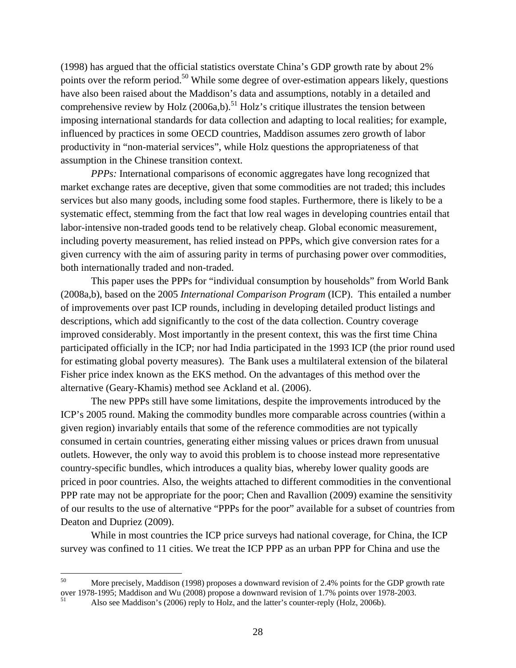(1998) has argued that the official statistics overstate China's GDP growth rate by about 2% points over the reform period.<sup>50</sup> While some degree of over-estimation appears likely, questions have also been raised about the Maddison's data and assumptions, notably in a detailed and comprehensive review by Holz  $(2006a,b)$ <sup>51</sup> Holz's critique illustrates the tension between imposing international standards for data collection and adapting to local realities; for example, influenced by practices in some OECD countries, Maddison assumes zero growth of labor productivity in "non-material services", while Holz questions the appropriateness of that assumption in the Chinese transition context.

*PPPs:* International comparisons of economic aggregates have long recognized that market exchange rates are deceptive, given that some commodities are not traded; this includes services but also many goods, including some food staples. Furthermore, there is likely to be a systematic effect, stemming from the fact that low real wages in developing countries entail that labor-intensive non-traded goods tend to be relatively cheap. Global economic measurement, including poverty measurement, has relied instead on PPPs, which give conversion rates for a given currency with the aim of assuring parity in terms of purchasing power over commodities, both internationally traded and non-traded.

This paper uses the PPPs for "individual consumption by households" from World Bank (2008a,b), based on the 2005 *International Comparison Program* (ICP). This entailed a number of improvements over past ICP rounds, including in developing detailed product listings and descriptions, which add significantly to the cost of the data collection. Country coverage improved considerably. Most importantly in the present context, this was the first time China participated officially in the ICP; nor had India participated in the 1993 ICP (the prior round used for estimating global poverty measures). The Bank uses a multilateral extension of the bilateral Fisher price index known as the EKS method. On the advantages of this method over the alternative (Geary-Khamis) method see Ackland et al. (2006).

The new PPPs still have some limitations, despite the improvements introduced by the ICP's 2005 round. Making the commodity bundles more comparable across countries (within a given region) invariably entails that some of the reference commodities are not typically consumed in certain countries, generating either missing values or prices drawn from unusual outlets. However, the only way to avoid this problem is to choose instead more representative country-specific bundles, which introduces a quality bias, whereby lower quality goods are priced in poor countries. Also, the weights attached to different commodities in the conventional PPP rate may not be appropriate for the poor; Chen and Ravallion (2009) examine the sensitivity of our results to the use of alternative "PPPs for the poor" available for a subset of countries from Deaton and Dupriez (2009).

While in most countries the ICP price surveys had national coverage, for China, the ICP survey was confined to 11 cities. We treat the ICP PPP as an urban PPP for China and use the

<sup>50</sup> More precisely, Maddison (1998) proposes a downward revision of 2.4% points for the GDP growth rate over 1978-1995; Maddison and Wu (2008) propose a downward revision of 1.7% points over 1978-2003.

Also see Maddison's (2006) reply to Holz, and the latter's counter-reply (Holz, 2006b).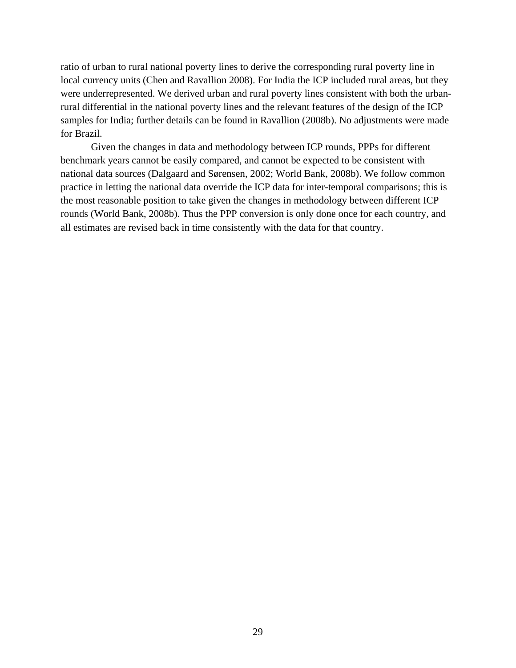ratio of urban to rural national poverty lines to derive the corresponding rural poverty line in local currency units (Chen and Ravallion 2008). For India the ICP included rural areas, but they were underrepresented. We derived urban and rural poverty lines consistent with both the urbanrural differential in the national poverty lines and the relevant features of the design of the ICP samples for India; further details can be found in Ravallion (2008b). No adjustments were made for Brazil.

Given the changes in data and methodology between ICP rounds, PPPs for different benchmark years cannot be easily compared, and cannot be expected to be consistent with national data sources (Dalgaard and Sørensen, 2002; World Bank, 2008b). We follow common practice in letting the national data override the ICP data for inter-temporal comparisons; this is the most reasonable position to take given the changes in methodology between different ICP rounds (World Bank, 2008b). Thus the PPP conversion is only done once for each country, and all estimates are revised back in time consistently with the data for that country.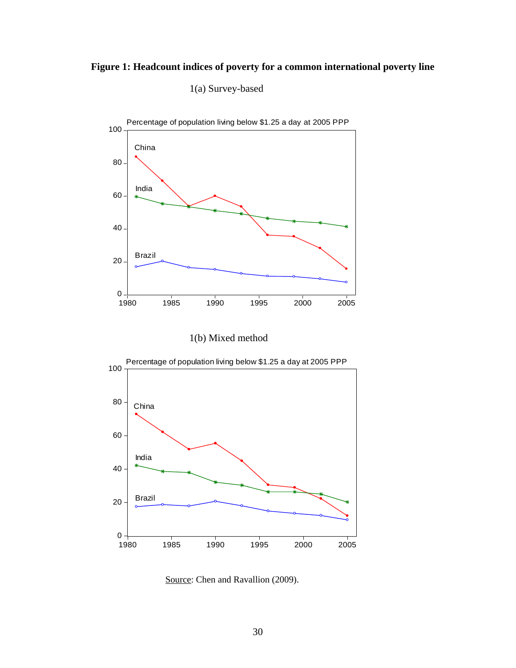



1(a) Survey-based

1(b) Mixed method



Source: Chen and Ravallion (2009).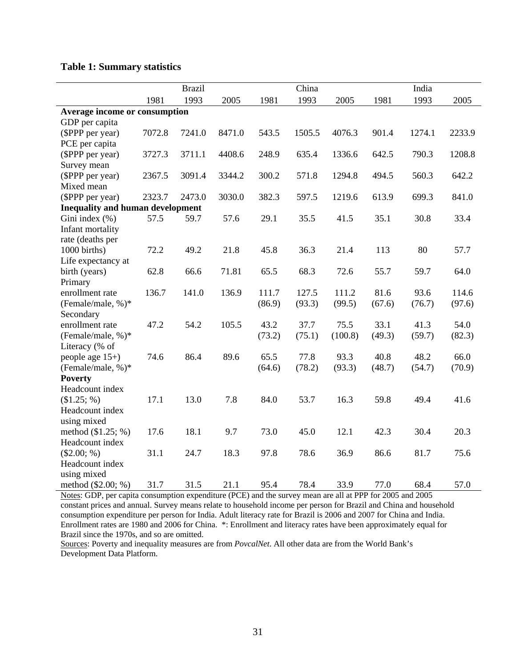# **Table 1: Summary statistics**

|                                         | <b>Brazil</b> |        |        |        | China  |         | India  |        |        |
|-----------------------------------------|---------------|--------|--------|--------|--------|---------|--------|--------|--------|
|                                         | 1981          | 1993   | 2005   | 1981   | 1993   | 2005    | 1981   | 1993   | 2005   |
| Average income or consumption           |               |        |        |        |        |         |        |        |        |
| GDP per capita                          |               |        |        |        |        |         |        |        |        |
| (\$PPP per year)                        | 7072.8        | 7241.0 | 8471.0 | 543.5  | 1505.5 | 4076.3  | 901.4  | 1274.1 | 2233.9 |
| PCE per capita                          |               |        |        |        |        |         |        |        |        |
| (\$PPP per year)                        | 3727.3        | 3711.1 | 4408.6 | 248.9  | 635.4  | 1336.6  | 642.5  | 790.3  | 1208.8 |
| Survey mean                             |               |        |        |        |        |         |        |        |        |
| (\$PPP per year)                        | 2367.5        | 3091.4 | 3344.2 | 300.2  | 571.8  | 1294.8  | 494.5  | 560.3  | 642.2  |
| Mixed mean                              |               |        |        |        |        |         |        |        |        |
| (\$PPP per year)                        | 2323.7        | 2473.0 | 3030.0 | 382.3  | 597.5  | 1219.6  | 613.9  | 699.3  | 841.0  |
| <b>Inequality and human development</b> |               |        |        |        |        |         |        |        |        |
| Gini index (%)                          | 57.5          | 59.7   | 57.6   | 29.1   | 35.5   | 41.5    | 35.1   | 30.8   | 33.4   |
| Infant mortality                        |               |        |        |        |        |         |        |        |        |
| rate (deaths per                        |               |        |        |        |        |         |        |        |        |
| 1000 births)                            | 72.2          | 49.2   | 21.8   | 45.8   | 36.3   | 21.4    | 113    | 80     | 57.7   |
| Life expectancy at                      |               |        |        |        |        |         |        |        |        |
| birth (years)                           | 62.8          | 66.6   | 71.81  | 65.5   | 68.3   | 72.6    | 55.7   | 59.7   | 64.0   |
| Primary                                 |               |        |        |        |        |         |        |        |        |
| enrollment rate                         | 136.7         | 141.0  | 136.9  | 111.7  | 127.5  | 111.2   | 81.6   | 93.6   | 114.6  |
| (Female/male, %)*                       |               |        |        | (86.9) | (93.3) | (99.5)  | (67.6) | (76.7) | (97.6) |
| Secondary                               |               |        |        |        |        |         |        |        |        |
| enrollment rate                         | 47.2          | 54.2   | 105.5  | 43.2   | 37.7   | 75.5    | 33.1   | 41.3   | 54.0   |
| (Female/male, %)*                       |               |        |        | (73.2) | (75.1) | (100.8) | (49.3) | (59.7) | (82.3) |
| Literacy (% of                          |               |        |        |        |        |         |        |        |        |
| people age 15+)                         | 74.6          | 86.4   | 89.6   | 65.5   | 77.8   | 93.3    | 40.8   | 48.2   | 66.0   |
| (Female/male, %)*                       |               |        |        | (64.6) | (78.2) | (93.3)  | (48.7) | (54.7) | (70.9) |
| <b>Poverty</b>                          |               |        |        |        |        |         |        |        |        |
| Headcount index                         |               |        |        |        |        |         |        |        |        |
| (\$1.25; %)                             | 17.1          | 13.0   | 7.8    | 84.0   | 53.7   | 16.3    | 59.8   | 49.4   | 41.6   |
| Headcount index                         |               |        |        |        |        |         |        |        |        |
| using mixed                             |               |        |        |        |        |         |        |        |        |
| method (\$1.25; %)                      | 17.6          | 18.1   | 9.7    | 73.0   | 45.0   | 12.1    | 42.3   | 30.4   | 20.3   |
| Headcount index                         |               |        |        |        |        |         |        |        |        |
| $(\$2.00; %)$                           | 31.1          | 24.7   | 18.3   | 97.8   | 78.6   | 36.9    | 86.6   | 81.7   | 75.6   |
| Headcount index                         |               |        |        |        |        |         |        |        |        |
| using mixed                             |               |        |        |        |        |         |        |        |        |
| method (\$2.00; %)                      | 31.7          | 31.5   | 21.1   | 95.4   | 78.4   | 33.9    | 77.0   | 68.4   | 57.0   |

Notes: GDP, per capita consumption expenditure (PCE) and the survey mean are all at PPP for 2005 and 2005 constant prices and annual. Survey means relate to household income per person for Brazil and China and household consumption expenditure per person for India. Adult literacy rate for Brazil is 2006 and 2007 for China and India. Enrollment rates are 1980 and 2006 for China. \*: Enrollment and literacy rates have been approximately equal for Brazil since the 1970s, and so are omitted.

Sources: Poverty and inequality measures are from *PovcalNet*. All other data are from the World Bank's Development Data Platform.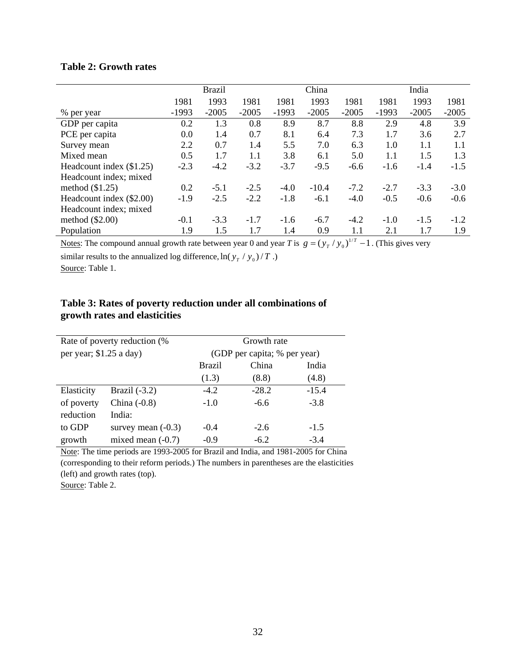# **Table 2: Growth rates**

|                            |         | <b>Brazil</b> |         |         | China   |         |         | India   |         |
|----------------------------|---------|---------------|---------|---------|---------|---------|---------|---------|---------|
|                            | 1981    | 1993          | 1981    | 1981    | 1993    | 1981    | 1981    | 1993    | 1981    |
| % per year                 | $-1993$ | $-2005$       | $-2005$ | $-1993$ | $-2005$ | $-2005$ | $-1993$ | $-2005$ | $-2005$ |
| GDP per capita             | 0.2     | 1.3           | 0.8     | 8.9     | 8.7     | 8.8     | 2.9     | 4.8     | 3.9     |
| PCE per capita             | 0.0     | 1.4           | 0.7     | 8.1     | 6.4     | 7.3     | 1.7     | 3.6     | 2.7     |
| Survey mean                | 2.2     | 0.7           | 1.4     | 5.5     | 7.0     | 6.3     | 1.0     | 1.1     | 1.1     |
| Mixed mean                 | 0.5     | 1.7           | 1.1     | 3.8     | 6.1     | 5.0     | 1.1     | 1.5     | 1.3     |
| Headcount index $(\$1.25)$ | $-2.3$  | $-4.2$        | $-3.2$  | $-3.7$  | $-9.5$  | $-6.6$  | $-1.6$  | $-1.4$  | $-1.5$  |
| Headcount index; mixed     |         |               |         |         |         |         |         |         |         |
| method $(\$1.25)$          | 0.2     | $-5.1$        | $-2.5$  | $-4.0$  | $-10.4$ | $-7.2$  | $-2.7$  | $-3.3$  | $-3.0$  |
| Headcount index (\$2.00)   | $-1.9$  | $-2.5$        | $-2.2$  | $-1.8$  | $-6.1$  | $-4.0$  | $-0.5$  | $-0.6$  | $-0.6$  |
| Headcount index; mixed     |         |               |         |         |         |         |         |         |         |
| method $(\$2.00)$          | $-0.1$  | $-3.3$        | $-1.7$  | $-1.6$  | $-6.7$  | $-4.2$  | $-1.0$  | $-1.5$  | $-1.2$  |
| Population                 | 1.9     | 1.5           | 1.7     | 1.4     | 0.9     | 1.1     | 2.1     | 1.7     | 1.9     |

Notes: The compound annual growth rate between year 0 and year *T* is  $g = (y_T / y_0)^{1/T} - 1$ . (This gives very

similar results to the annualized log difference, ln(  $y_T$  /  $y_0$  ) /  $T$  .)

Source: Table 1.

# **Table 3: Rates of poverty reduction under all combinations of growth rates and elasticities**

|                          | Rate of poverty reduction (% | Growth rate                  |         |         |  |  |
|--------------------------|------------------------------|------------------------------|---------|---------|--|--|
| per year; $$1.25$ a day) |                              | (GDP per capita; % per year) |         |         |  |  |
|                          |                              | Brazil                       | China   | India   |  |  |
|                          |                              | (1.3)                        | (8.8)   | (4.8)   |  |  |
| Elasticity               | Brazil $(-3.2)$              | $-4.2$                       | $-28.2$ | $-15.4$ |  |  |
| of poverty               | China $(-0.8)$               | $-1.0$                       | $-6.6$  | $-3.8$  |  |  |
| reduction                | India:                       |                              |         |         |  |  |
| to GDP                   | survey mean $(-0.3)$         | $-0.4$                       | $-2.6$  | $-1.5$  |  |  |
| growth                   | mixed mean $(-0.7)$          | $-0.9$                       | $-6.2$  | $-3.4$  |  |  |

Note: The time periods are 1993-2005 for Brazil and India, and 1981-2005 for China (corresponding to their reform periods.) The numbers in parentheses are the elasticities (left) and growth rates (top).

Source: Table 2.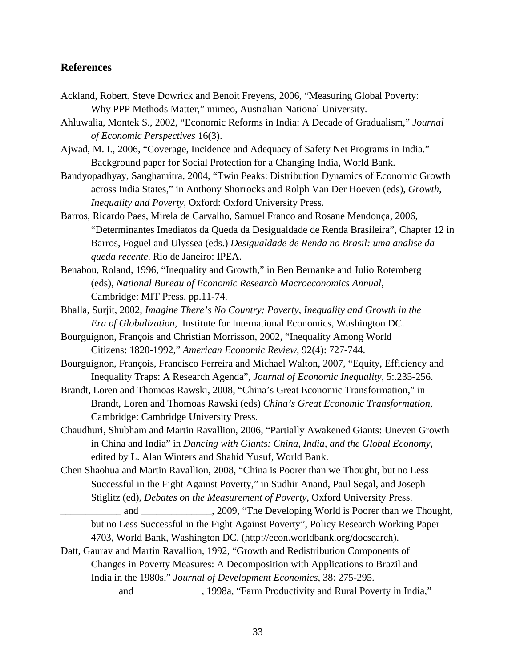### **References**

- Ackland, Robert, Steve Dowrick and Benoit Freyens, 2006, "Measuring Global Poverty: Why PPP Methods Matter," mimeo, Australian National University.
- Ahluwalia, Montek S., 2002, "Economic Reforms in India: A Decade of Gradualism," *Journal of Economic Perspectives* 16(3).
- Ajwad, M. I., 2006, "Coverage, Incidence and Adequacy of Safety Net Programs in India." Background paper for Social Protection for a Changing India, World Bank.
- Bandyopadhyay, Sanghamitra, 2004, "Twin Peaks: Distribution Dynamics of Economic Growth across India States," in Anthony Shorrocks and Rolph Van Der Hoeven (eds), *Growth, Inequality and Poverty*, Oxford: Oxford University Press.
- Barros, Ricardo Paes, Mirela de Carvalho, Samuel Franco and Rosane Mendonça, 2006, "Determinantes Imediatos da Queda da Desigualdade de Renda Brasileira", Chapter 12 in Barros, Foguel and Ulyssea (eds.) *Desigualdade de Renda no Brasil: uma analise da queda recente*. Rio de Janeiro: IPEA.
- Benabou, Roland, 1996, "Inequality and Growth," in Ben Bernanke and Julio Rotemberg (eds), *National Bureau of Economic Research Macroeconomics Annual*, Cambridge: MIT Press, pp.11-74.
- Bhalla, Surjit, 2002, *Imagine There's No Country: Poverty, Inequality and Growth in the Era of Globalization*, Institute for International Economics, Washington DC.
- Bourguignon, François and Christian Morrisson, 2002, "Inequality Among World Citizens: 1820-1992," *American Economic Review*, 92(4): 727-744.
- Bourguignon, François, Francisco Ferreira and Michael Walton, 2007, "Equity, Efficiency and Inequality Traps: A Research Agenda", *Journal of Economic Inequality*, 5:.235-256.
- Brandt, Loren and Thomoas Rawski, 2008, "China's Great Economic Transformation," in Brandt, Loren and Thomoas Rawski (eds) *China's Great Economic Transformation*, Cambridge: Cambridge University Press.
- Chaudhuri, Shubham and Martin Ravallion, 2006, "Partially Awakened Giants: Uneven Growth in China and India" in *Dancing with Giants: China, India, and the Global Economy*, edited by L. Alan Winters and Shahid Yusuf, World Bank.
- Chen Shaohua and Martin Ravallion, 2008, "China is Poorer than we Thought, but no Less Successful in the Fight Against Poverty," in Sudhir Anand, Paul Segal, and Joseph Stiglitz (ed), *Debates on the Measurement of Poverty*, Oxford University Press.

and \_\_\_\_\_\_\_\_\_\_\_\_\_, 2009, "The Developing World is Poorer than we Thought, but no Less Successful in the Fight Against Poverty", Policy Research Working Paper 4703, World Bank, Washington DC. (http://econ.worldbank.org/docsearch).

Datt, Gaurav and Martin Ravallion, 1992, "Growth and Redistribution Components of Changes in Poverty Measures: A Decomposition with Applications to Brazil and India in the 1980s," *Journal of Development Economics*, 38: 275-295.

and \_\_\_\_\_\_\_\_\_\_\_\_\_, 1998a, "Farm Productivity and Rural Poverty in India,"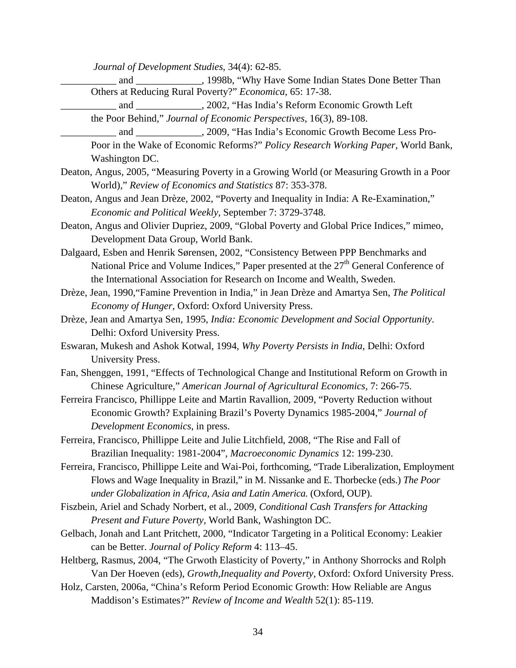*Journal of Development Studies*, 34(4): 62-85.

and \_\_\_\_\_\_\_\_\_\_\_\_\_, 1998b, "Why Have Some Indian States Done Better Than Others at Reducing Rural Poverty?" *Economica*, 65: 17-38.

\_\_\_\_\_\_\_\_\_\_\_ and \_\_\_\_\_\_\_\_\_\_\_\_\_, 2002, "Has India's Reform Economic Growth Left the Poor Behind," *Journal of Economic Perspectives*, 16(3), 89-108.

and  $\qquad$ , 2009, "Has India's Economic Growth Become Less Pro- Poor in the Wake of Economic Reforms?" *Policy Research Working Paper*, World Bank, Washington DC.

- Deaton, Angus, 2005, "Measuring Poverty in a Growing World (or Measuring Growth in a Poor World)," *Review of Economics and Statistics* 87: 353-378.
- Deaton, Angus and Jean Drèze, 2002, "Poverty and Inequality in India: A Re-Examination," *Economic and Political Weekly*, September 7: 3729-3748.
- Deaton, Angus and Olivier Dupriez, 2009, "Global Poverty and Global Price Indices," mimeo, Development Data Group, World Bank.
- Dalgaard, Esben and Henrik Sørensen, 2002, "Consistency Between PPP Benchmarks and National Price and Volume Indices," Paper presented at the 27<sup>th</sup> General Conference of the International Association for Research on Income and Wealth, Sweden.
- Drèze, Jean, 1990,"Famine Prevention in India," in Jean Drèze and Amartya Sen, *The Political Economy of Hunger*, Oxford: Oxford University Press.
- Drèze, Jean and Amartya Sen, 1995, *India: Economic Development and Social Opportunity.* Delhi: Oxford University Press.
- Eswaran, Mukesh and Ashok Kotwal, 1994, *Why Poverty Persists in India*, Delhi: Oxford University Press.
- Fan, Shenggen, 1991, "Effects of Technological Change and Institutional Reform on Growth in Chinese Agriculture," *American Journal of Agricultural Economics,* 7: 266-75.
- Ferreira Francisco, Phillippe Leite and Martin Ravallion, 2009, "Poverty Reduction without Economic Growth? Explaining Brazil's Poverty Dynamics 1985-2004," *Journal of Development Economics*, in press.
- Ferreira, Francisco, Phillippe Leite and Julie Litchfield, 2008, "The Rise and Fall of Brazilian Inequality: 1981-2004", *Macroeconomic Dynamics* 12: 199-230.
- Ferreira, Francisco, Phillippe Leite and Wai-Poi, forthcoming, "Trade Liberalization, Employment Flows and Wage Inequality in Brazil," in M. Nissanke and E. Thorbecke (eds.) *The Poor under Globalization in Africa, Asia and Latin America.* (Oxford, OUP).
- Fiszbein, Ariel and Schady Norbert, et al., 2009, *Conditional Cash Transfers for Attacking Present and Future Poverty,* World Bank, Washington DC.
- Gelbach, Jonah and Lant Pritchett, 2000, "Indicator Targeting in a Political Economy: Leakier can be Better. *Journal of Policy Reform* 4: 113–45.
- Heltberg, Rasmus, 2004, "The Grwoth Elasticity of Poverty," in Anthony Shorrocks and Rolph Van Der Hoeven (eds), *Growth,Inequality and Poverty*, Oxford: Oxford University Press.
- Holz, Carsten, 2006a, "China's Reform Period Economic Growth: How Reliable are Angus Maddison's Estimates?" *Review of Income and Wealth* 52(1): 85-119.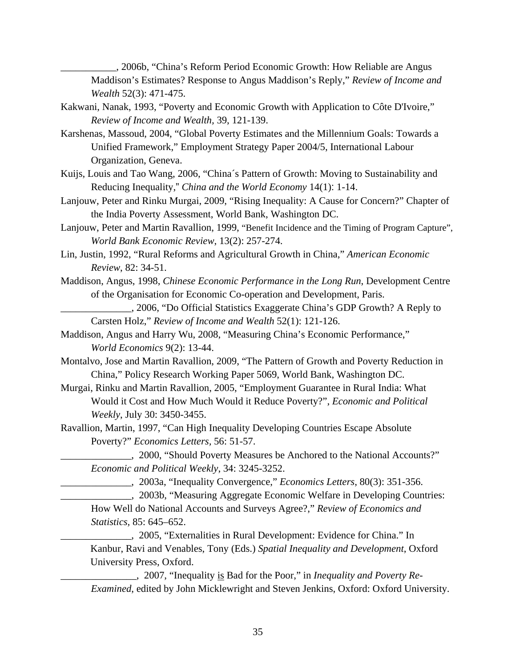\_\_\_\_\_\_\_\_\_\_\_, 2006b, "China's Reform Period Economic Growth: How Reliable are Angus Maddison's Estimates? Response to Angus Maddison's Reply," *Review of Income and Wealth* 52(3): 471-475.

- Kakwani, Nanak, 1993, "Poverty and Economic Growth with Application to Côte D'Ivoire," *Review of Income and Wealth,* 39, 121-139.
- Karshenas, Massoud, 2004, "Global Poverty Estimates and the Millennium Goals: Towards a Unified Framework," Employment Strategy Paper 2004/5, International Labour Organization, Geneva.
- Kuijs, Louis and Tao Wang, 2006, "China´s Pattern of Growth: Moving to Sustainability and Reducing Inequality," *China and the World Economy* 14(1): 1-14.
- Lanjouw, Peter and Rinku Murgai, 2009, "Rising Inequality: A Cause for Concern?" Chapter of the India Poverty Assessment, World Bank, Washington DC.
- Lanjouw, Peter and Martin Ravallion, 1999, "Benefit Incidence and the Timing of Program Capture", *World Bank Economic Review*, 13(2): 257-274.
- Lin, Justin, 1992, "Rural Reforms and Agricultural Growth in China," *American Economic Review*, 82: 34-51.
- Maddison, Angus, 1998, *Chinese Economic Performance in the Long Run*, Development Centre of the Organisation for Economic Co-operation and Development, Paris.
	- \_\_\_\_\_\_\_\_\_\_\_\_\_\_, 2006, "Do Official Statistics Exaggerate China's GDP Growth? A Reply to Carsten Holz," *Review of Income and Wealth* 52(1): 121-126.
- Maddison, Angus and Harry Wu, 2008, "Measuring China's Economic Performance," *World Economics* 9(2): 13-44.
- Montalvo, Jose and Martin Ravallion, 2009, "The Pattern of Growth and Poverty Reduction in China," Policy Research Working Paper 5069, World Bank, Washington DC.
- Murgai, Rinku and Martin Ravallion, 2005, "Employment Guarantee in Rural India: What Would it Cost and How Much Would it Reduce Poverty?", *Economic and Political Weekly*, July 30: 3450-3455.
- Ravallion, Martin, 1997, "Can High Inequality Developing Countries Escape Absolute Poverty?" *Economics Letters,* 56: 51-57.
	- . 2000, "Should Poverty Measures be Anchored to the National Accounts?" *Economic and Political Weekly*, 34: 3245-3252.
		- \_\_\_\_\_\_\_\_\_\_\_\_\_\_, 2003a, "Inequality Convergence," *Economics Letters*, 80(3): 351-356.
	- \_\_\_\_\_\_\_\_\_\_\_\_\_\_, 2003b, "Measuring Aggregate Economic Welfare in Developing Countries: How Well do National Accounts and Surveys Agree?," *Review of Economics and Statistics,* 85: 645–652.
	- \_\_\_\_\_\_\_\_\_\_\_\_\_\_, 2005, "Externalities in Rural Development: Evidence for China." In Kanbur, Ravi and Venables, Tony (Eds.) *Spatial Inequality and Development*, Oxford University Press, Oxford.

\_\_\_\_\_\_\_\_\_\_\_\_\_\_\_, 2007, "Inequality is Bad for the Poor," in *Inequality and Poverty Re-Examined*, edited by John Micklewright and Steven Jenkins, Oxford: Oxford University.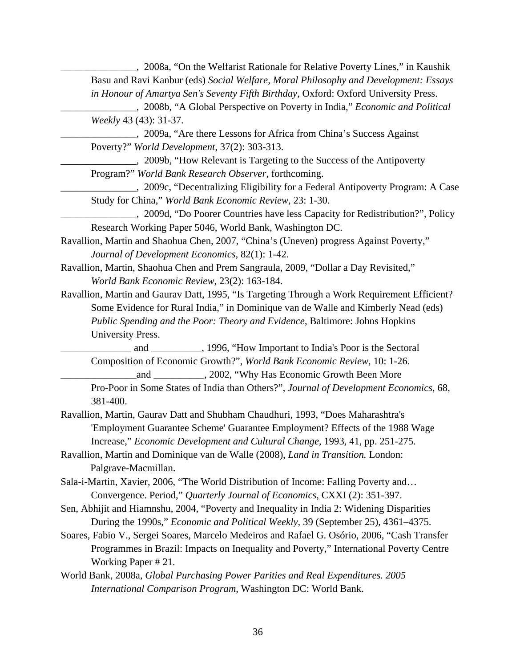\_\_\_\_\_\_\_\_\_\_\_\_\_\_\_, 2008a, "On the Welfarist Rationale for Relative Poverty Lines," in Kaushik Basu and Ravi Kanbur (eds) *Social Welfare, Moral Philosophy and Development: Essays in Honour of Amartya Sen's Seventy Fifth Birthday*, Oxford: Oxford University Press.

\_\_\_\_\_\_\_\_\_\_\_\_\_\_\_, 2008b, "A Global Perspective on Poverty in India," *Economic and Political Weekly* 43 (43): 31-37.

\_\_\_\_\_\_\_\_\_\_\_\_\_\_\_, 2009a, "Are there Lessons for Africa from China's Success Against Poverty?" *World Development*, 37(2): 303-313.

\_\_\_\_\_\_\_\_\_\_\_\_\_\_\_, 2009b, "How Relevant is Targeting to the Success of the Antipoverty Program?" *World Bank Research Observer*, forthcoming.

\_\_\_\_\_\_\_\_\_\_\_\_\_\_\_, 2009c, "Decentralizing Eligibility for a Federal Antipoverty Program: A Case Study for China," *World Bank Economic Review,* 23: 1-30.

\_\_\_\_\_\_\_\_\_\_\_\_\_\_\_, 2009d, "Do Poorer Countries have less Capacity for Redistribution?", Policy Research Working Paper 5046, World Bank, Washington DC.

- Ravallion, Martin and Shaohua Chen, 2007, "China's (Uneven) progress Against Poverty," *Journal of Development Economics*, 82(1): 1-42.
- Ravallion, Martin, Shaohua Chen and Prem Sangraula, 2009, "Dollar a Day Revisited," *World Bank Economic Review*, 23(2): 163-184.

Ravallion, Martin and Gaurav Datt, 1995, "Is Targeting Through a Work Requirement Efficient? Some Evidence for Rural India," in Dominique van de Walle and Kimberly Nead (eds) *Public Spending and the Poor: Theory and Evidence*, Baltimore: Johns Hopkins University Press.

\_\_\_\_\_\_\_\_\_\_\_\_\_\_ and \_\_\_\_\_\_\_\_\_\_, 1996, "How Important to India's Poor is the Sectoral Composition of Economic Growth?", *World Bank Economic Review*, 10: 1-26.

and \_\_\_\_\_\_\_\_\_\_, 2002, "Why Has Economic Growth Been More

Pro-Poor in Some States of India than Others?", *Journal of Development Economics*, 68, 381-400.

Ravallion, Martin, Gaurav Datt and Shubham Chaudhuri, 1993, "Does Maharashtra's 'Employment Guarantee Scheme' Guarantee Employment? Effects of the 1988 Wage Increase," *Economic Development and Cultural Change*, 1993, 41, pp. 251-275.

Ravallion, Martin and Dominique van de Walle (2008), *Land in Transition.* London: Palgrave-Macmillan.

Sala-i-Martin, Xavier, 2006, "The World Distribution of Income: Falling Poverty and… Convergence. Period," *Quarterly Journal of Economics*, CXXI (2): 351-397.

Sen, Abhijit and Hiamnshu, 2004, "Poverty and Inequality in India 2: Widening Disparities During the 1990s," *Economic and Political Weekly,* 39 (September 25), 4361–4375.

- Soares, Fabio V., Sergei Soares, Marcelo Medeiros and Rafael G. Osório, 2006, "Cash Transfer Programmes in Brazil: Impacts on Inequality and Poverty," International Poverty Centre Working Paper # 21.
- World Bank, 2008a, *Global Purchasing Power Parities and Real Expenditures. 2005 International Comparison Program*, Washington DC: World Bank.